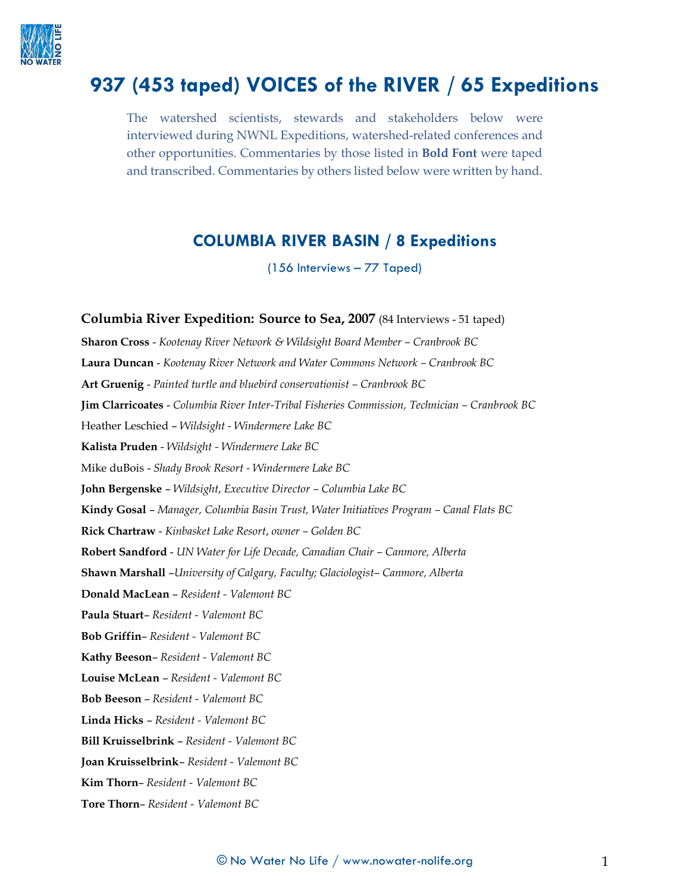

# **937 (453 taped) VOICES of the RIVER / 65 Expeditions**

The watershed scientists, stewards and stakeholders below were interviewed during NWNL Expeditions, watershed-related conferences and other opportunities. Commentaries by those listed in **Bold Font** were taped and transcribed. Commentaries by others listed below were written by hand.

# **COLUMBIA RIVER BASIN / 8 Expeditions**

(156 Interviews – 77 Taped)

**Columbia River Expedition: Source to Sea, 2007** (84 Interviews - 51 taped) **Sharon Cross** - *Kootenay River Network & Wildsight Board Member – Cranbrook BC* **Laura Duncan** - *Kootenay River Network and Water Commons Network – Cranbrook BC* **Art Gruenig** - *Painted turtle and bluebird conservationist – Cranbrook BC* **Jim Clarricoates** - *Columbia River Inter-Tribal Fisheries Commission, Technician – Cranbrook BC* Heather Leschied – *Wildsight - Windermere Lake BC* **Kalista Pruden** - *Wildsight - Windermere Lake BC* Mike duBois - *Shady Brook Resort - Windermere Lake BC* **John Bergenske** – *Wildsight*, *Executive Director – Columbia Lake BC* **Kindy Gosal** – *Manager, Columbia Basin Trust, Water Initiatives Program – Canal Flats BC* **Rick Chartraw** - *Kinbasket Lake Resort*, *owner – Golden BC* **Robert Sandford** - *UN Water for Life Decade, Canadian Chair – Canmore, Alberta* **Shawn Marshall** –*University of Calgary, Faculty; Glaciologist– Canmore, Alberta* **Donald MacLean** – *Resident - Valemont BC* **Paula Stuart**– *Resident - Valemont BC* **Bob Griffin**– *Resident - Valemont BC* **Kathy Beeson**– *Resident - Valemont BC* **Louise McLean** – *Resident - Valemont BC* **Bob Beeson** – *Resident - Valemont BC* **Linda Hicks** – *Resident - Valemont BC* **Bill Kruisselbrink** – *Resident - Valemont BC* **Joan Kruisselbrink**– *Resident - Valemont BC* **Kim Thorn**– *Resident - Valemont BC* **Tore Thorn**– *Resident - Valemont BC*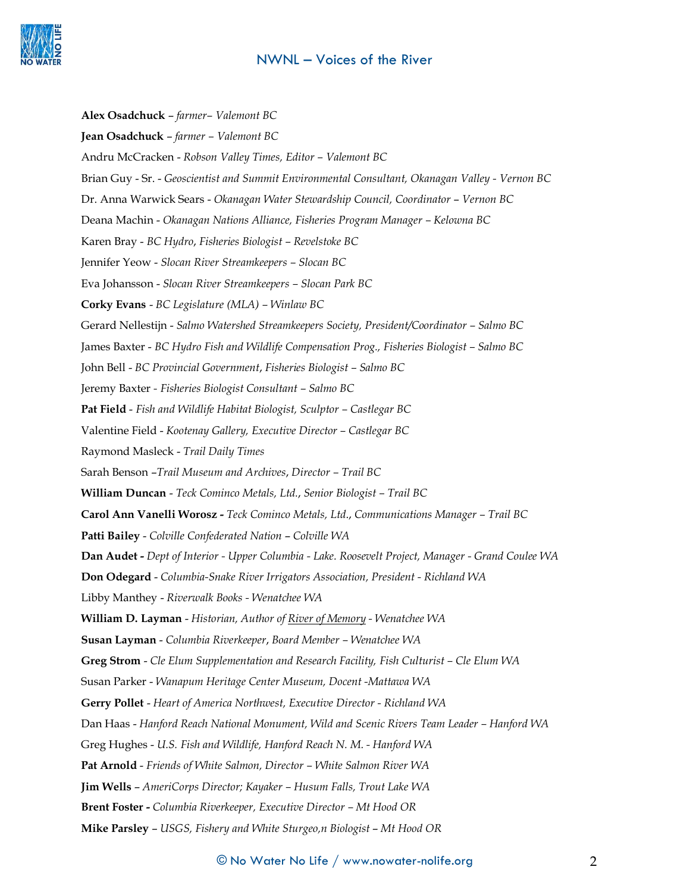

**Alex Osadchuck** – *farmer– Valemont BC* **Jean Osadchuck** – *farmer – Valemont BC* Andru McCracken - *Robson Valley Times, Editor – Valemont BC* Brian Guy - Sr. - *Geoscientist and Summit Environmental Consultant, Okanagan Valley - Vernon BC* Dr. Anna Warwick Sears - *Okanagan Water Stewardship Council, Coordinator* – *Vernon BC* Deana Machin - *Okanagan Nations Alliance, Fisheries Program Manager – Kelowna BC* Karen Bray - *BC Hydro*, *Fisheries Biologist – Revelstoke BC* Jennifer Yeow - *Slocan River Streamkeepers – Slocan BC* Eva Johansson - *Slocan River Streamkeepers – Slocan Park BC* **Corky Evans** - *BC Legislature (MLA) – Winlaw BC* Gerard Nellestijn - *Salmo Watershed Streamkeepers Society, President/Coordinator – Salmo BC* James Baxter - *BC Hydro Fish and Wildlife Compensation Prog., Fisheries Biologist – Salmo BC* John Bell - *BC Provincial Government*, *Fisheries Biologist – Salmo BC* Jeremy Baxter *- Fisheries Biologist Consultant – Salmo BC* **Pat Field** - *Fish and Wildlife Habitat Biologist, Sculptor – Castlegar BC* Valentine Field - *Kootenay Gallery, Executive Director – Castlegar BC* Raymond Masleck - *Trail Daily Times* Sarah Benson –*Trail Museum and Archives*, *Director – Trail BC* **William Duncan** - *Teck Cominco Metals, Ltd.*, *Senior Biologist – Trail BC* **Carol Ann Vanelli Worosz -** *Teck Cominco Metals, Ltd*., *Communications Manager – Trail BC* **Patti Bailey** - *Colville Confederated Nation* – *Colville WA* **Dan Audet -** *Dept of Interior - Upper Columbia - Lake. Roosevelt Project, Manager - Grand Coulee WA* **Don Odegard** - *Columbia-Snake River Irrigators Association, President - Richland WA* Libby Manthey - *Riverwalk Books - Wenatchee WA* **William D. Layman** - *Historian, Author of River of Memory - Wenatchee WA* **Susan Layman** - *Columbia Riverkeeper*, *Board Member – Wenatchee WA* **Greg Strom** - *Cle Elum Supplementation and Research Facility, Fish Culturist – Cle Elum WA* Susan Parker - *Wanapum Heritage Center Museum, Docent -Mattawa WA* **Gerry Pollet** - *Heart of America Northwest, Executive Director - Richland WA* Dan Haas - *Hanford Reach National Monument, Wild and Scenic Rivers Team Leader – Hanford WA* Greg Hughes - *U.S. Fish and Wildlife, Hanford Reach N. M. - Hanford WA* **Pat Arnold** - *Friends of White Salmon, Director – White Salmon River WA* **Jim Wells** – *AmeriCorps Director; Kayaker – Husum Falls, Trout Lake WA* **Brent Foster -** *Columbia Riverkeeper, Executive Director – Mt Hood OR* **Mike Parsley** – *USGS, Fishery and White Sturgeo,n Biologist* – *Mt Hood OR*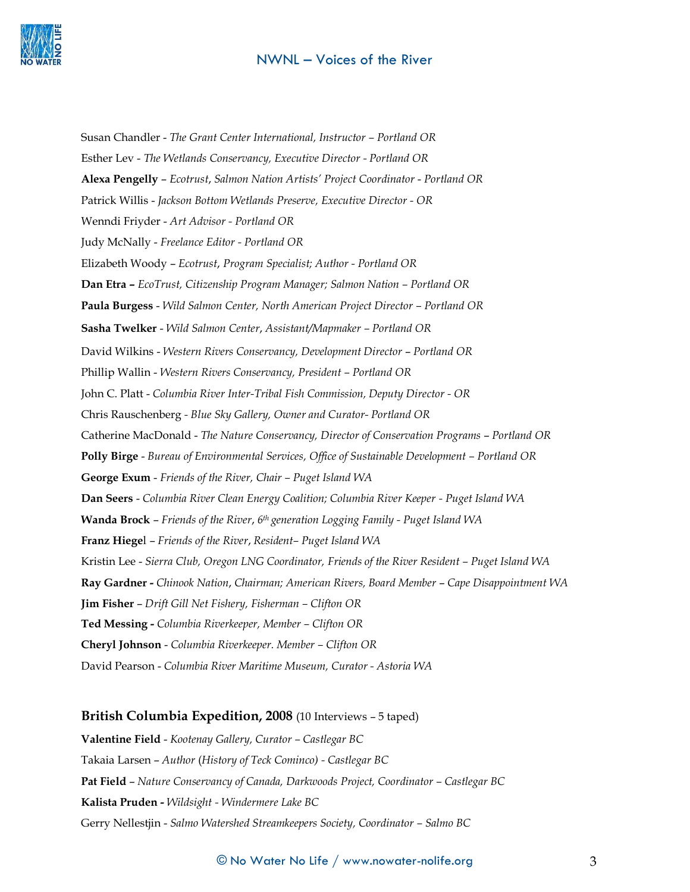

Susan Chandler - *The Grant Center International, Instructor – Portland OR* Esther Lev - *The Wetlands Conservancy, Executive Director - Portland OR* **Alexa Pengelly** – *Ecotrust*, *Salmon Nation Artists' Project Coordinator* - *Portland OR* Patrick Willis - *Jackson Bottom Wetlands Preserve, Executive Director - OR* Wenndi Friyder - *Art Advisor - Portland OR* Judy McNally - *Freelance Editor - Portland OR* Elizabeth Woody – *Ecotrust*, *Program Specialist; Author - Portland OR* **Dan Etra –** *EcoTrust, Citizenship Program Manager; Salmon Nation – Portland OR* **Paula Burgess** - *Wild Salmon Center, North American Project Director – Portland OR* **Sasha Twelker** - *Wild Salmon Center*, *Assistant/Mapmaker – Portland OR* David Wilkins - *Western Rivers Conservancy, Development Director* – *Portland OR* Phillip Wallin - *Western Rivers Conservancy, President – Portland OR* John C. Platt - *Columbia River Inter-Tribal Fish Commission, Deputy Director - OR* Chris Rauschenberg *- Blue Sky Gallery, Owner and Curator- Portland OR* Catherine MacDonald - *The Nature Conservancy, Director of Conservation Programs* – *Portland OR* **Polly Birge** - *Bureau of Environmental Services, Office of Sustainable Development – Portland OR* **George Exum** - *Friends of the River, Chair – Puget Island WA* **Dan Seers** - *Columbia River Clean Energy Coalition; Columbia River Keeper - Puget Island WA* **Wanda Brock** – *Friends of the River*, *6th generation Logging Family - Puget Island WA* **Franz Hiege**l – *Friends of the River*, *Resident– Puget Island WA* Kristin Lee - *Sierra Club, Oregon LNG Coordinator, Friends of the River Resident – Puget Island WA* **Ray Gardner -** *Chinook Nation*, *Chairman; American Rivers, Board Member* – *Cape Disappointment WA* **Jim Fisher** – *Drift Gill Net Fishery, Fisherman – Clifton OR* **Ted Messing -** *Columbia Riverkeeper, Member – Clifton OR* **Cheryl Johnson** - *Columbia Riverkeeper. Member – Clifton OR* David Pearson - *Columbia River Maritime Museum, Curator - Astoria WA*

#### **British Columbia Expedition, 2008** (10 Interviews – 5 taped)

**Valentine Field** - *Kootenay Gallery, Curator – Castlegar BC* Takaia Larsen – *Author* (*History of Teck Cominco) - Castlegar BC* **Pat Field** – *Nature Conservancy of Canada, Darkwoods Project, Coordinator – Castlegar BC* **Kalista Pruden -** *Wildsight - Windermere Lake BC* Gerry Nellestjin - *Salmo Watershed Streamkeepers Society, Coordinator - Salmo BC* 

#### $\copyright$  No Water No Life  $/$  www.nowater-nolife.org  $3$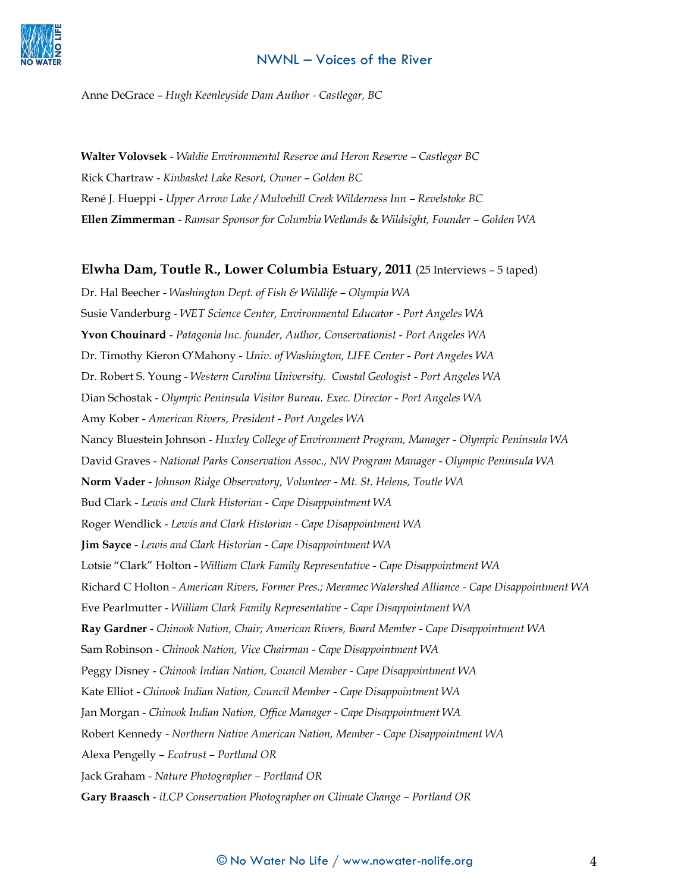

Anne DeGrace – *Hugh Keenleyside Dam Author - Castlegar, BC*

**Walter Volovsek** - *Waldie Environmental Reserve and Heron Reserve – Castlegar BC* Rick Chartraw - *Kinbasket Lake Resort, Owner* – *Golden BC* René J. Hueppi - *Upper Arrow Lake / Mulvehill Creek Wilderness Inn – Revelstoke BC* **Ellen Zimmerman** - *Ramsar Sponsor for Columbia Wetlands* & *Wildsight, Founder – Golden WA*

#### **Elwha Dam, Toutle R., Lower Columbia Estuary, 2011** (25 Interviews – 5 taped)

Dr. Hal Beecher - *Washington Dept. of Fish & Wildlife – Olympia WA* Susie Vanderburg - *WET Science Center, Environmental Educator - Port Angeles WA* **Yvon Chouinard** - *Patagonia Inc. founder, Author, Conservationist* - *Port Angeles WA* Dr. Timothy Kieron O'Mahony - *Univ. of Washington, LIFE Center* - *Port Angeles WA* Dr. Robert S. Young - *Western Carolina University. Coastal Geologist* - *Port Angeles WA* Dian Schostak - *Olympic Peninsula Visitor Bureau. Exec. Director* - *Port Angeles WA* Amy Kober - *American Rivers, President - Port Angeles WA* Nancy Bluestein Johnson - *Huxley College of Environment Program, Manager* - *Olympic Peninsula WA* David Graves - *National Parks Conservation Assoc., NW Program Manager* - *Olympic Peninsula WA* **Norm Vader** - *Johnson Ridge Observatory, Volunteer - Mt. St. Helens, Toutle WA* Bud Clark - *Lewis and Clark Historian - Cape Disappointment WA* Roger Wendlick - *Lewis and Clark Historian - Cape Disappointment WA* **Jim Sayce** - *Lewis and Clark Historian - Cape Disappointment WA* Lotsie "Clark" Holton - *William Clark Family Representative - Cape Disappointment WA* Richard C Holton - *American Rivers, Former Pres.; Meramec Watershed Alliance - Cape Disappointment WA* Eve Pearlmutter - *William Clark Family Representative - Cape Disappointment WA* **Ray Gardner** - *Chinook Nation, Chair; American Rivers, Board Member - Cape Disappointment WA* Sam Robinson - *Chinook Nation, Vice Chairman - Cape Disappointment WA* Peggy Disney - *Chinook Indian Nation, Council Member - Cape Disappointment WA* Kate Elliot - *Chinook Indian Nation, Council Member - Cape Disappointment WA* Jan Morgan - *Chinook Indian Nation, Office Manager - Cape Disappointment WA* Robert Kennedy *- Northern Native American Nation, Member - Cape Disappointment WA* Alexa Pengelly – *Ecotrust – Portland OR* Jack Graham - *Nature Photographer – Portland OR* **Gary Braasch** - *iLCP Conservation Photographer on Climate Change – Portland OR*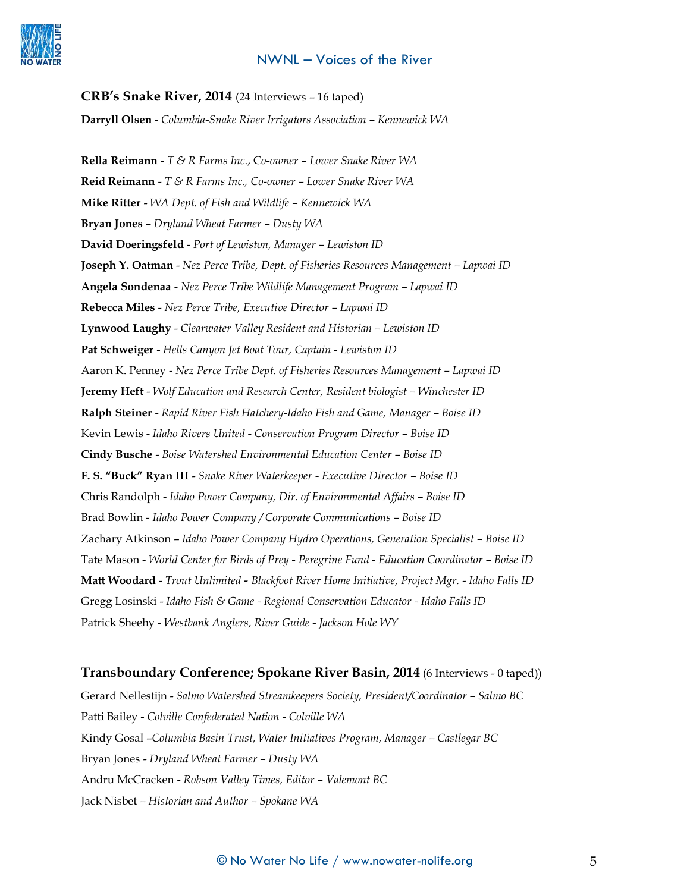

**CRB's Snake River, 2014** (24 Interviews – 16 taped)

**Darryll Olsen** - *Columbia-Snake River Irrigators Association – Kennewick WA*

**Rella Reimann** - *T & R Farms Inc*., C*o-owner* – *Lower Snake River WA* **Reid Reimann** - *T & R Farms Inc., Co-owner* – *Lower Snake River WA* **Mike Ritter** - *WA Dept. of Fish and Wildlife – Kennewick WA* **Bryan Jones** – *Dryland Wheat Farmer – Dusty WA* **David Doeringsfeld** - *Port of Lewiston, Manager – Lewiston ID* **Joseph Y. Oatman** - *Nez Perce Tribe, Dept. of Fisheries Resources Management – Lapwai ID* **Angela Sondenaa** - *Nez Perce Tribe Wildlife Management Program – Lapwai ID* **Rebecca Miles** - *Nez Perce Tribe, Executive Director – Lapwai ID* **Lynwood Laughy** - *Clearwater Valley Resident and Historian – Lewiston ID* **Pat Schweiger** - *Hells Canyon Jet Boat Tour, Captain - Lewiston ID* Aaron K. Penney - *Nez Perce Tribe Dept. of Fisheries Resources Management – Lapwai ID* **Jeremy Heft** - *Wolf Education and Research Center, Resident biologist – Winchester ID* **Ralph Steiner** - *Rapid River Fish Hatchery-Idaho Fish and Game, Manager – Boise ID* Kevin Lewis - *Idaho Rivers United - Conservation Program Director – Boise ID* **Cindy Busche** - *Boise Watershed Environmental Education Center – Boise ID* **F. S. "Buck" Ryan III** - *Snake River Waterkeeper - Executive Director – Boise ID* Chris Randolph - *Idaho Power Company, Dir. of Environmental Affairs – Boise ID* Brad Bowlin - *Idaho Power Company / Corporate Communications – Boise ID* Zachary Atkinson – *Idaho Power Company Hydro Operations, Generation Specialist – Boise ID* Tate Mason - *World Center for Birds of Prey - Peregrine Fund - Education Coordinator – Boise ID* **Matt Woodard** - *Trout Unlimited - Blackfoot River Home Initiative, Project Mgr. - Idaho Falls ID* Gregg Losinski - *Idaho Fish & Game - Regional Conservation Educator - Idaho Falls ID* Patrick Sheehy - *Westbank Anglers, River Guide - Jackson Hole WY*

#### **Transboundary Conference; Spokane River Basin, 2014** (6 Interviews - 0 taped))

Gerard Nellestijn - *Salmo Watershed Streamkeepers Society, President/Coordinator – Salmo BC* Patti Bailey - *Colville Confederated Nation - Colville WA* Kindy Gosal –*Columbia Basin Trust, Water Initiatives Program, Manager – Castlegar BC* Bryan Jones - *Dryland Wheat Farmer – Dusty WA* Andru McCracken - *Robson Valley Times, Editor – Valemont BC* Jack Nisbet *– Historian and Author – Spokane WA*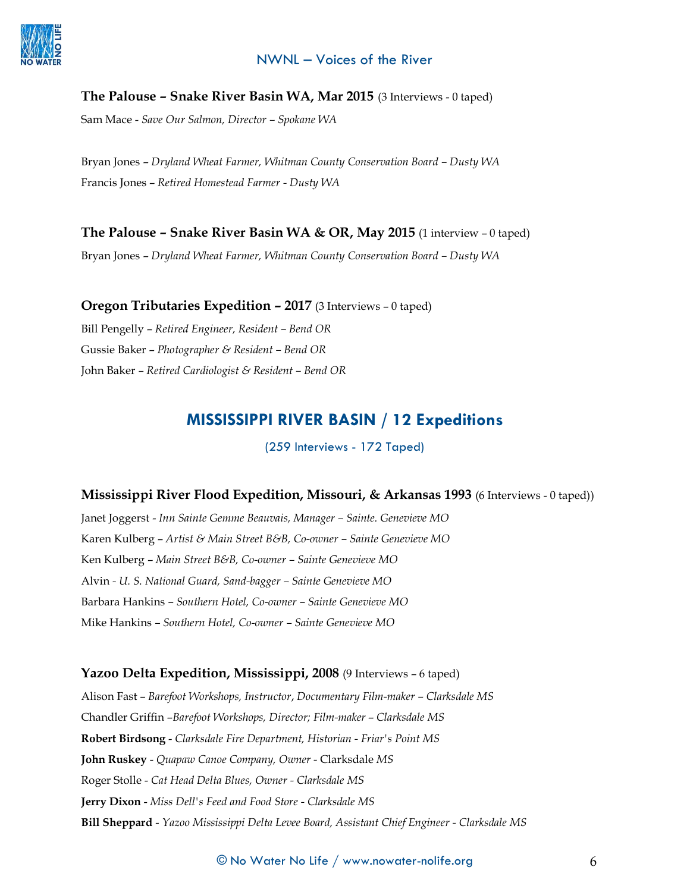## **The Palouse – Snake River Basin WA, Mar 2015** (3 Interviews - 0 taped)

Sam Mace - *Save Our Salmon, Director – Spokane WA*

Bryan Jones – *Dryland Wheat Farmer, Whitman County Conservation Board – Dusty WA* Francis Jones – *Retired Homestead Farmer - Dusty WA*

## **The Palouse – Snake River Basin WA & OR, May 2015** (1 interview – 0 taped)

Bryan Jones – *Dryland Wheat Farmer, Whitman County Conservation Board – Dusty WA*

#### **Oregon Tributaries Expedition – 2017** (3 Interviews – 0 taped)

Bill Pengelly – *Retired Engineer, Resident – Bend OR* Gussie Baker – *Photographer & Resident – Bend OR* John Baker – *Retired Cardiologist & Resident – Bend OR*

# **MISSISSIPPI RIVER BASIN / 12 Expeditions**

(259 Interviews - 172 Taped)

## **Mississippi River Flood Expedition, Missouri, & Arkansas 1993** (6 Interviews - 0 taped))

Janet Joggerst - *Inn Sainte Gemme Beauvais, Manager – Sainte. Genevieve MO* Karen Kulberg – *Artist & Main Street B&B, Co-owner – Sainte Genevieve MO* Ken Kulberg – *Main Street B&B, Co-owner – Sainte Genevieve MO* Alvin *- U. S. National Guard, Sand-bagger – Sainte Genevieve MO* Barbara Hankins *– Southern Hotel, Co-owner – Sainte Genevieve MO* Mike Hankins *– Southern Hotel, Co-owner – Sainte Genevieve MO*

#### **Yazoo Delta Expedition, Mississippi, 2008** (9 Interviews – 6 taped)

Alison Fast – *Barefoot Workshops, Instructor*, *Documentary Film-maker – Clarksdale MS* Chandler Griffin –*Barefoot Workshops, Director; Film-maker* – *Clarksdale MS* **Robert Birdsong** - *Clarksdale Fire Department, Historian - Friar's Point MS* **John Ruskey** - *Quapaw Canoe Company, Owner -* Clarksdale *MS* Roger Stolle - *Cat Head Delta Blues, Owner - Clarksdale MS* **Jerry Dixon** - *Miss Dell's Feed and Food Store - Clarksdale MS* **Bill Sheppard** - *Yazoo Mississippi Delta Levee Board, Assistant Chief Engineer - Clarksdale MS*

#### $\copyright$  No Water No Life  $/$  www.nowater-nolife.org  $6$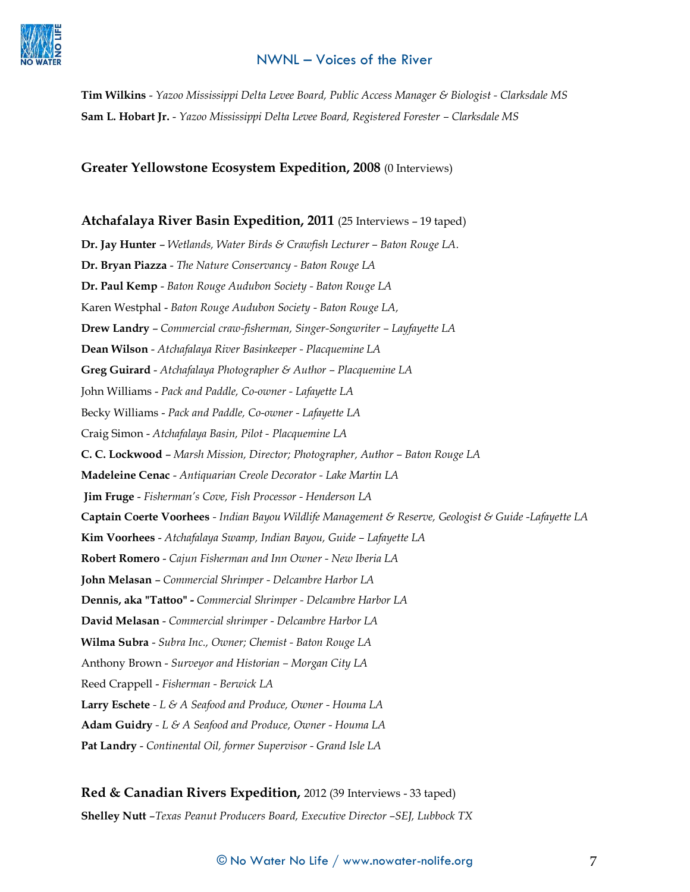

**Tim Wilkins** - *Yazoo Mississippi Delta Levee Board, Public Access Manager & Biologist - Clarksdale MS* **Sam L. Hobart Jr.** - *Yazoo Mississippi Delta Levee Board, Registered Forester – Clarksdale MS*

#### **Greater Yellowstone Ecosystem Expedition, 2008** (0 Interviews)

#### **Atchafalaya River Basin Expedition, 2011** (25 Interviews – 19 taped)

**Dr. Jay Hunter** – *Wetlands, Water Birds & Crawfish Lecturer – Baton Rouge LA.* **Dr. Bryan Piazza** - *The Nature Conservancy - Baton Rouge LA* **Dr. Paul Kemp** - *Baton Rouge Audubon Society - Baton Rouge LA* Karen Westphal - *Baton Rouge Audubon Society - Baton Rouge LA,*  **Drew Landry** – *Commercial craw-fisherman, Singer-Songwriter – Layfayette LA* **Dean Wilson** - *Atchafalaya River Basinkeeper - Placquemine LA* **Greg Guirard** - *Atchafalaya Photographer & Author – Placquemine LA* John Williams - *Pack and Paddle, Co-owner - Lafayette LA* Becky Williams - *Pack and Paddle, Co-owner - Lafayette LA* Craig Simon - *Atchafalaya Basin, Pilot - Placquemine LA* **C. C. Lockwood** – *Marsh Mission, Director; Photographer, Author – Baton Rouge LA* **Madeleine Cenac** - *Antiquarian Creole Decorator - Lake Martin LA* **Jim Fruge** - *Fisherman's Cove, Fish Processor - Henderson LA* **Captain Coerte Voorhees** *- Indian Bayou Wildlife Management & Reserve, Geologist & Guide -Lafayette LA* **Kim Voorhees** - *Atchafalaya Swamp, Indian Bayou, Guide – Lafayette LA* **Robert Romero** - *Cajun Fisherman and Inn Owner - New Iberia LA* **John Melasan** – *Commercial Shrimper - Delcambre Harbor LA* **Dennis, aka "Tattoo" -** *Commercial Shrimper - Delcambre Harbor LA* **David Melasan** - *Commercial shrimper - Delcambre Harbor LA* **Wilma Subra** - *Subra Inc., Owner; Chemist - Baton Rouge LA* Anthony Brown - *Surveyor and Historian – Morgan City LA* Reed Crappell - *Fisherman - Berwick LA* **Larry Eschete** *- L & A Seafood and Produce, Owner - Houma LA* **Adam Guidry** *- L & A Seafood and Produce, Owner - Houma LA* **Pat Landry** - *Continental Oil, former Supervisor - Grand Isle LA*

**Red & Canadian Rivers Expedition,** 2012 (39 Interviews - 33 taped) **Shelley Nutt** –*Texas Peanut Producers Board, Executive Director –SEJ, Lubbock TX*

#### $\copyright$  No Water No Life  $/$  www.nowater-nolife.org  $7$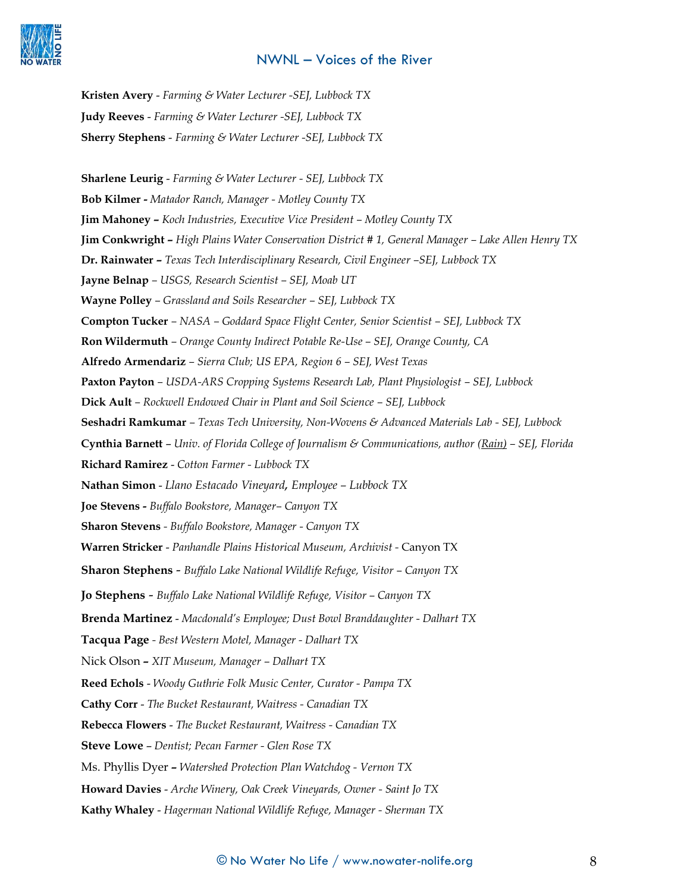

**Kristen Avery** - *Farming & Water Lecturer -SEJ, Lubbock TX* **Judy Reeves** - *Farming & Water Lecturer -SEJ, Lubbock TX* **Sherry Stephens** - *Farming & Water Lecturer -SEJ, Lubbock TX*

**Sharlene Leurig** - *Farming & Water Lecturer - SEJ, Lubbock TX* **Bob Kilmer -** *Matador Ranch, Manager - Motley County TX* **Jim Mahoney –** *Koch Industries, Executive Vice President – Motley County TX* **Jim Conkwright –** *High Plains Water Conservation District # 1, General Manager – Lake Allen Henry TX* **Dr. Rainwater –** *Texas Tech Interdisciplinary Research, Civil Engineer –SEJ, Lubbock TX* **Jayne Belnap** *– USGS, Research Scientist – SEJ, Moab UT* **Wayne Polley** *– Grassland and Soils Researcher – SEJ, Lubbock TX* **Compton Tucker** *– NASA – Goddard Space Flight Center, Senior Scientist – SEJ, Lubbock TX* **Ron Wildermuth** *– Orange County Indirect Potable Re-Use – SEJ, Orange County, CA* **Alfredo Armendariz** *– Sierra Club; US EPA, Region 6 – SEJ, West Texas* **Paxton Payton** *– USDA-ARS Cropping Systems Research Lab, Plant Physiologist – SEJ, Lubbock* **Dick Ault** *– Rockwell Endowed Chair in Plant and Soil Science – SEJ, Lubbock* **Seshadri Ramkumar** *– Texas Tech University, Non-Wovens & Advanced Materials Lab - SEJ, Lubbock* **Cynthia Barnett** – *Univ. of Florida College of Journalism & Communications, author (Rain) – SEJ, Florida* **Richard Ramirez** - *Cotton Farmer - Lubbock TX* **Nathan Simon** - *Llano Estacado Vineyard, Employee – Lubbock TX* **Joe Stevens -** *Buffalo Bookstore, Manager– Canyon TX*  **Sharon Stevens** *- Buffalo Bookstore, Manager - Canyon TX*  **Warren Stricker** - *Panhandle Plains Historical Museum, Archivist -* Canyon TX **Sharon Stephens** - *Buffalo Lake National Wildlife Refuge, Visitor – Canyon TX* **Jo Stephens** - *Buffalo Lake National Wildlife Refuge, Visitor – Canyon TX* **Brenda Martinez** - *Macdonald's Employee; Dust Bowl Branddaughter - Dalhart TX* **Tacqua Page** *- Best Western Motel, Manager - Dalhart TX* Nick Olson **–** *XIT Museum, Manager – Dalhart TX*  **Reed Echols** - *Woody Guthrie Folk Music Center, Curator - Pampa TX* **Cathy Corr** - *The Bucket Restaurant, Waitress - Canadian TX* **Rebecca Flowers** - *The Bucket Restaurant, Waitress - Canadian TX* **Steve Lowe** – *Dentist; Pecan Farmer - Glen Rose TX* Ms. Phyllis Dyer **–** *Watershed Protection Plan Watchdog - Vernon TX* **Howard Davies** - *Arche Winery, Oak Creek Vineyards, Owner - Saint Jo TX* **Kathy Whaley** - *Hagerman National Wildlife Refuge, Manager - Sherman TX*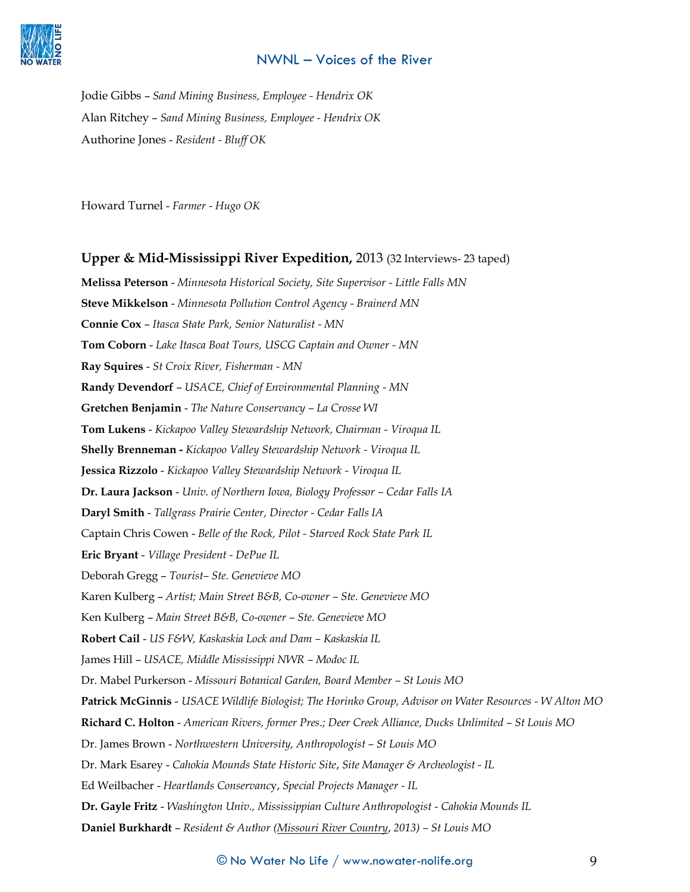

Jodie Gibbs – *Sand Mining Business, Employee - Hendrix OK*  Alan Ritchey – *Sand Mining Business, Employee - Hendrix OK* Authorine Jones - *Resident - Bluff OK*

Howard Turnel - *Farmer - Hugo OK*

#### **Upper & Mid-Mississippi River Expedition,** 2013 (32 Interviews- 23 taped)

**Melissa Peterson** - *Minnesota Historical Society, Site Supervisor - Little Falls MN* **Steve Mikkelson** - *Minnesota Pollution Control Agency - Brainerd MN* **Connie Cox** – *Itasca State Park, Senior Naturalist - MN* **Tom Coborn** - *Lake Itasca Boat Tours, USCG Captain and Owner - MN* **Ray Squires** - *St Croix River, Fisherman - MN* **Randy Devendorf** – *USACE, Chief of Environmental Planning - MN* **Gretchen Benjamin** - *The Nature Conservancy – La Crosse WI* **Tom Lukens** - *Kickapoo Valley Stewardship Network, Chairman - Viroqua IL* **Shelly Brenneman -** *Kickapoo Valley Stewardship Network - Viroqua IL* **Jessica Rizzolo** - *Kickapoo Valley Stewardship Network - Viroqua IL* **Dr. Laura Jackson** - *Univ. of Northern Iowa, Biology Professor – Cedar Falls IA* **Daryl Smith** - *Tallgrass Prairie Center, Director - Cedar Falls IA* Captain Chris Cowen - *Belle of the Rock, Pilot - Starved Rock State Park IL* **Eric Bryant** - *Village President - DePue IL* Deborah Gregg – *Tourist– Ste. Genevieve MO* Karen Kulberg – *Artist; Main Street B&B, Co-owner – Ste. Genevieve MO* Ken Kulberg – *Main Street B&B, Co-owner – Ste. Genevieve MO* **Robert Cail** - *US F&W, Kaskaskia Lock and Dam – Kaskaskia IL* James Hill – *USACE, Middle Mississippi NWR – Modoc IL* Dr. Mabel Purkerson - *Missouri Botanical Garden, Board Member – St Louis MO* **Patrick McGinnis** - *USACE Wildlife Biologist; The Horinko Group, Advisor on Water Resources - W Alton MO* **Richard C. Holton** - *American Rivers, former Pres.; Deer Creek Alliance, Ducks Unlimited – St Louis MO* Dr. James Brown - *Northwestern University, Anthropologist – St Louis MO* Dr. Mark Esarey - *Cahokia Mounds State Historic Site*, *Site Manager & Archeologist - IL* Ed Weilbacher - *Heartlands Conservanc*y, *Special Projects Manager - IL* **Dr. Gayle Fritz** - *Washington Univ., Mississippian Culture Anthropologist - Cahokia Mounds IL* **Daniel Burkhardt** – *Resident & Author (Missouri River Country*, *2013) – St Louis MO*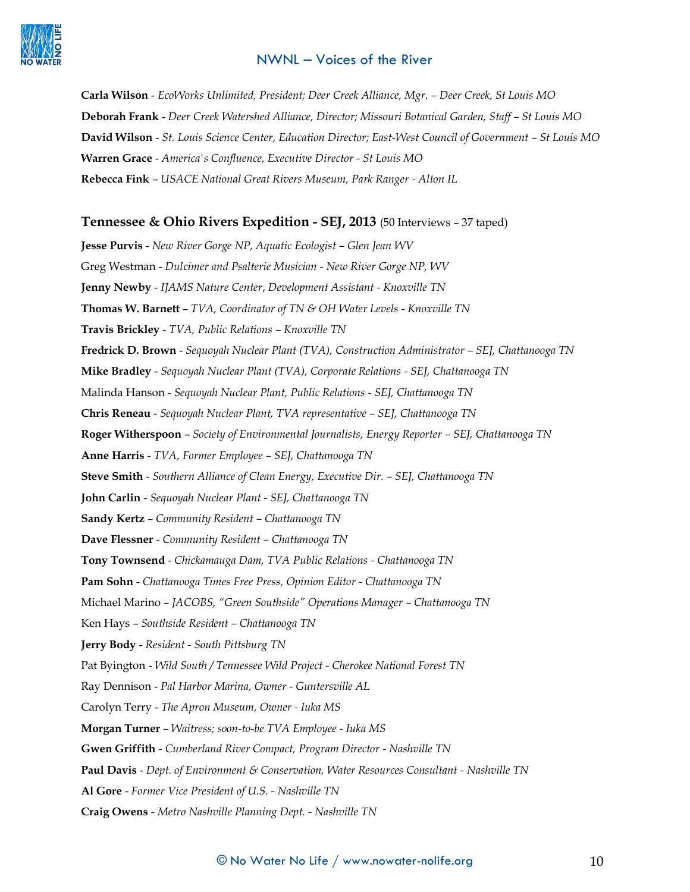

**Carla Wilson** - *EcoWorks Unlimited, President; Deer Creek Alliance, Mgr. – Deer Creek, St Louis MO*  **Deborah Frank** - *Deer Creek Watershed Alliance, Director; Missouri Botanical Garden, Staff – St Louis MO* **David Wilson** - *St. Louis Science Center, Education Director; East-West Council of Government – St Louis MO* **Warren Grace** - *America's Confluence, Executive Director - St Louis MO* **Rebecca Fink** – *USACE National Great Rivers Museum, Park Ranger - Alton IL*

#### **Tennessee & Ohio Rivers Expedition - SEJ, 2013** (50 Interviews – 37 taped)

**Jesse Purvis** - *New River Gorge NP, Aquatic Ecologist – Glen Jean WV* Greg Westman - *Dulcimer and Psalterie Musician - New River Gorge NP, WV*  **Jenny Newby** - *IJAMS Nature Center*, *Development Assistant - Knoxville TN* **Thomas W. Barnett** – *TVA, Coordinator of TN & OH Water Levels - Knoxville TN* **Travis Brickley** - *TVA, Public Relations – Knoxville TN* **Fredrick D. Brown** - *Sequoyah Nuclear Plant (TVA), Construction Administrator – SEJ, Chattanooga TN* **Mike Bradley** - *Sequoyah Nuclear Plant (TVA), Corporate Relations - SEJ, Chattanooga TN* Malinda Hanson - *Sequoyah Nuclear Plant, Public Relations - SEJ, Chattanooga TN* **Chris Reneau** - *Sequoyah Nuclear Plant, TVA representative – SEJ, Chattanooga TN* **Roger Witherspoon** – *Society of Environmental Journalists, Energy Reporter – SEJ, Chattanooga TN* **Anne Harris** - *TVA, Former Employee – SEJ, Chattanooga TN* **Steve Smith** - *Southern Alliance of Clean Energy, Executive Dir. – SEJ, Chattanooga TN* **John Carlin** - *Sequoyah Nuclear Plant - SEJ, Chattanooga TN* **Sandy Kertz** – *Community Resident – Chattanooga TN* **Dave Flessner** - *Community Resident – Chattanooga TN* **Tony Townsend** - *Chickamauga Dam, TVA Public Relations - Chattanooga TN* **Pam Sohn** - *Chattanooga Times Free Press, Opinion Editor - Chattanooga TN* Michael Marino – *JACOBS, "Green Southside" Operations Manager – Chattanooga TN* Ken Hays – *Southside Resident – Chattanooga TN* **Jerry Body** - *Resident - South Pittsburg TN* Pat Byington - *Wild South / Tennessee Wild Project - Cherokee National Forest TN* Ray Dennison - *Pal Harbor Marina, Owner - Guntersville AL* Carolyn Terry - *The Apron Museum, Owner - Iuka MS* **Morgan Turner** – *Waitress; soon-to-be TVA Employee - Iuka MS* **Gwen Griffith** *- Cumberland River Compact, Program Director - Nashville TN* **Paul Davis** - *Dept. of Environment & Conservation, Water Resources Consultant - Nashville TN* **Al Gore** - *Former Vice President of U.S. - Nashville TN* **Craig Owens** - *Metro Nashville Planning Dept. - Nashville TN*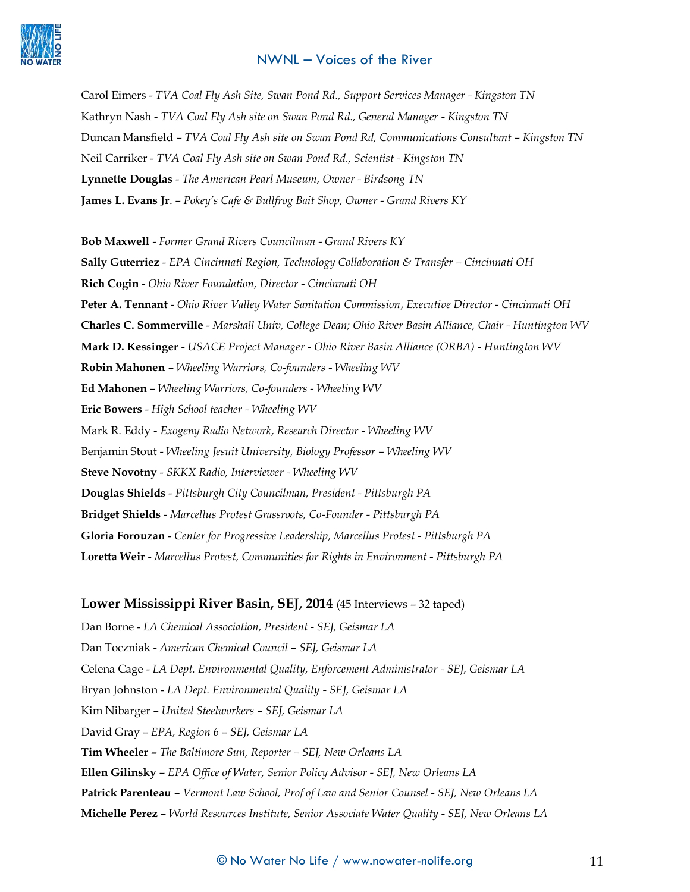

Carol Eimers - *TVA Coal Fly Ash Site, Swan Pond Rd., Support Services Manager - Kingston TN*  Kathryn Nash - *TVA Coal Fly Ash site on Swan Pond Rd., General Manager - Kingston TN* Duncan Mansfield – *TVA Coal Fly Ash site on Swan Pond Rd, Communications Consultant – Kingston TN* Neil Carriker - *TVA Coal Fly Ash site on Swan Pond Rd., Scientist - Kingston TN* **Lynnette Douglas** - *The American Pearl Museum, Owner - Birdsong TN* **James L. Evans Jr**. – *Pokey's Cafe & Bullfrog Bait Shop, Owner - Grand Rivers KY*

**Bob Maxwell** - *Former Grand Rivers Councilman - Grand Rivers KY* **Sally Guterriez** - *EPA Cincinnati Region, Technology Collaboration & Transfer – Cincinnati OH* **Rich Cogin** - *Ohio River Foundation, Director - Cincinnati OH* **Peter A. Tennant** - *Ohio River Valley Water Sanitation Commission*, *Executive Director - Cincinnati OH* **Charles C. Sommerville** - *Marshall Univ, College Dean; Ohio River Basin Alliance, Chair - Huntington WV* **Mark D. Kessinger** - *USACE Project Manager - Ohio River Basin Alliance (ORBA) - Huntington WV* **Robin Mahonen** – *Wheeling Warriors, Co-founders - Wheeling WV* **Ed Mahonen** – *Wheeling Warriors, Co-founders - Wheeling WV* **Eric Bowers** - *High School teacher - Wheeling WV* Mark R. Eddy - *Exogeny Radio Network, Research Director - Wheeling WV* Benjamin Stout - *Wheeling Jesuit University, Biology Professor – Wheeling WV* **Steve Novotny** - *SKKX Radio, Interviewer - Wheeling WV* **Douglas Shields** - *Pittsburgh City Councilman, President - Pittsburgh PA* **Bridget Shields** - *Marcellus Protest Grassroots, Co-Founder - Pittsburgh PA* **Gloria Forouzan** - *Center for Progressive Leadership, Marcellus Protest - Pittsburgh PA* **Loretta Weir** - *Marcellus Protest, Communities for Rights in Environment - Pittsburgh PA*

#### **Lower Mississippi River Basin, SEJ, 2014** (45 Interviews – 32 taped)

Dan Borne - *LA Chemical Association, President - SEJ, Geismar LA* Dan Toczniak - *American Chemical Council – SEJ, Geismar LA* Celena Cage - *LA Dept. Environmental Quality, Enforcement Administrator - SEJ, Geismar LA* Bryan Johnston - *LA Dept. Environmental Quality - SEJ, Geismar LA* Kim Nibarger – *United Steelworkers* – *SEJ, Geismar LA* David Gray – *EPA, Region 6* – *SEJ, Geismar LA* **Tim Wheeler –** *The Baltimore Sun, Reporter – SEJ, New Orleans LA* **Ellen Gilinsky** *– EPA Office of Water, Senior Policy Advisor - SEJ, New Orleans LA* **Patrick Parenteau** *– Vermont Law School, Prof of Law and Senior Counsel - SEJ, New Orleans LA* **Michelle Perez –** *World Resources Institute, Senior Associate Water Quality - SEJ, New Orleans LA*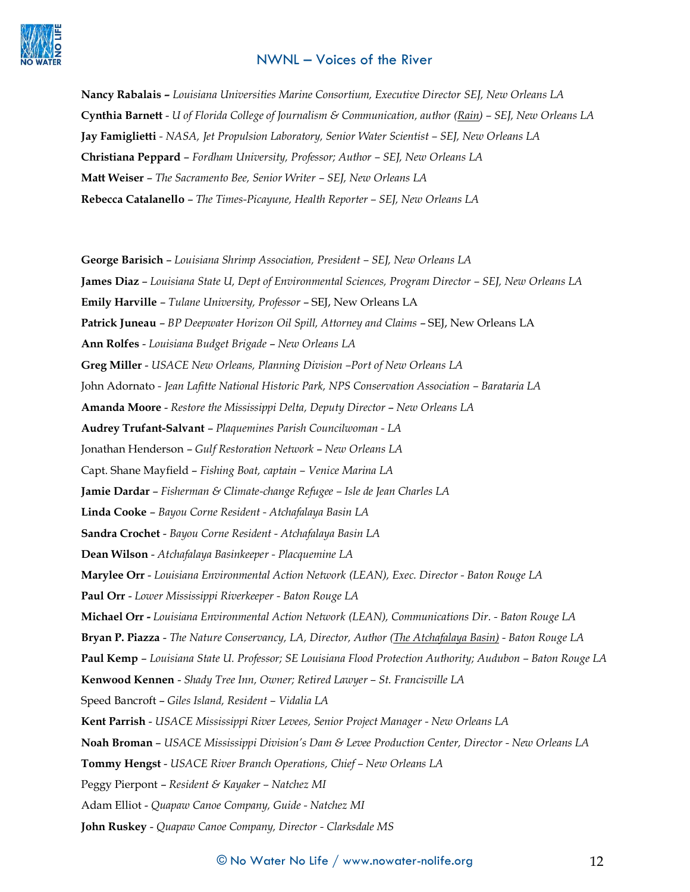

**Nancy Rabalais –** *Louisiana Universities Marine Consortium, Executive Director SEJ, New Orleans LA* **Cynthia Barnett** - *U of Florida College of Journalism & Communication, author (Rain) – SEJ, New Orleans LA* **Jay Famiglietti** *- NASA, Jet Propulsion Laboratory, Senior Water Scientist – SEJ, New Orleans LA* **Christiana Peppard** – *Fordham University, Professor; Author – SEJ, New Orleans LA* **Matt Weiser** – *The Sacramento Bee, Senior Writer – SEJ, New Orleans LA* **Rebecca Catalanello** – *The Times-Picayune, Health Reporter – SEJ, New Orleans LA*

**George Barisich** – *Louisiana Shrimp Association, President – SEJ, New Orleans LA* **James Diaz** – *Louisiana State U, Dept of Environmental Sciences, Program Director – SEJ, New Orleans LA* **Emily Harville** – *Tulane University, Professor* – SEJ, New Orleans LA **Patrick Juneau** – *BP Deepwater Horizon Oil Spill, Attorney and Claims* – SEJ, New Orleans LA **Ann Rolfes** - *Louisiana Budget Brigade* – *New Orleans LA* **Greg Miller** - *USACE New Orleans, Planning Division –Port of New Orleans LA* John Adornato *- Jean Lafitte National Historic Park, NPS Conservation Association – Barataria LA* **Amanda Moore** - *Restore the Mississippi Delta, Deputy Director* – *New Orleans LA* **Audrey Trufant-Salvant** – *Plaquemines Parish Councilwoman - LA* Jonathan Henderson – *Gulf Restoration Network* – *New Orleans LA* Capt. Shane Mayfield – *Fishing Boat, captain – Venice Marina LA* **Jamie Dardar** – *Fisherman & Climate-change Refugee – Isle de Jean Charles LA* **Linda Cooke** – *Bayou Corne Resident - Atchafalaya Basin LA* **Sandra Crochet** - *Bayou Corne Resident - Atchafalaya Basin LA* **Dean Wilson** - *Atchafalaya Basinkeeper - Placquemine LA* **Marylee Orr** - *Louisiana Environmental Action Network (LEAN), Exec. Director - Baton Rouge LA*  **Paul Orr** - *Lower Mississippi Riverkeeper - Baton Rouge LA* **Michael Orr -** *Louisiana Environmental Action Network (LEAN), Communications Dir. - Baton Rouge LA* **Bryan P. Piazza** - *The Nature Conservancy, LA, Director, Author (The Atchafalaya Basin) - Baton Rouge LA* **Paul Kemp** – *Louisiana State U. Professor; SE Louisiana Flood Protection Authority; Audubon – Baton Rouge LA* **Kenwood Kennen** - *Shady Tree Inn, Owner; Retired Lawyer – St. Francisville LA* Speed Bancroft – *Giles Island, Resident – Vidalia LA* **Kent Parrish** - *USACE Mississippi River Levees, Senior Project Manager - New Orleans LA* **Noah Broman** – *USACE Mississippi Division's Dam & Levee Production Center, Director - New Orleans LA* **Tommy Hengst** - *USACE River Branch Operations, Chief – New Orleans LA* Peggy Pierpont – *Resident & Kayaker – Natchez MI* Adam Elliot - *Quapaw Canoe Company, Guide - Natchez MI*

**John Ruskey** - *Quapaw Canoe Company, Director - Clarksdale MS*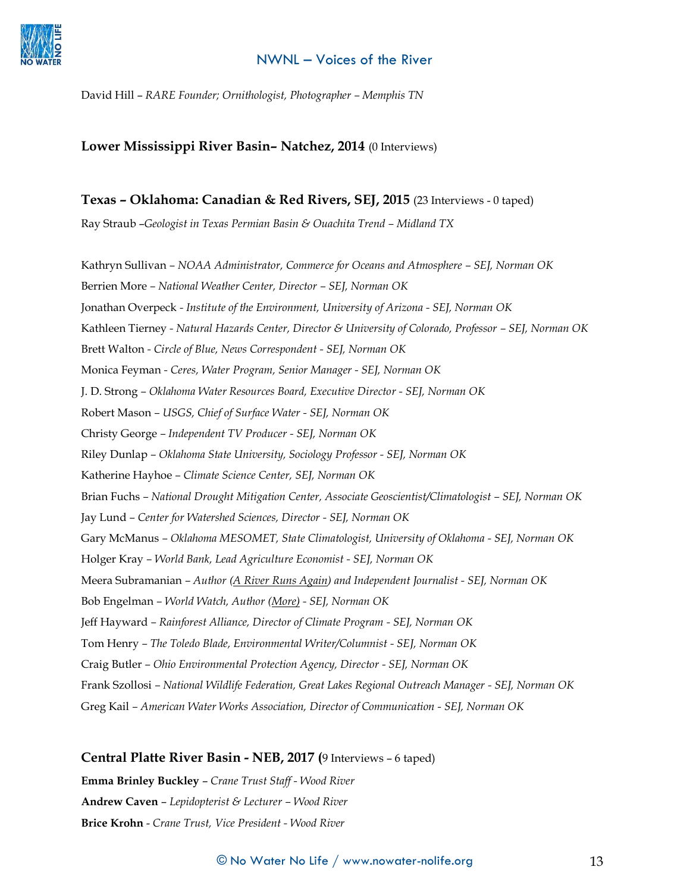

David Hill – *RARE Founder; Ornithologist, Photographer – Memphis TN*

#### **Lower Mississippi River Basin– Natchez, 2014** (0 Interviews)

#### **Texas – Oklahoma: Canadian & Red Rivers, SEJ, 2015** (23 Interviews - 0 taped)

Ray Straub -*Geologist in Texas Permian Basin & Ouachita Trend - Midland TX* 

Kathryn Sullivan *– NOAA Administrator, Commerce for Oceans and Atmosphere – SEJ, Norman OK* Berrien More *– National Weather Center, Director – SEJ, Norman OK* Jonathan Overpeck *- Institute of the Environment, University of Arizona - SEJ, Norman OK* Kathleen Tierney *- Natural Hazards Center, Director & University of Colorado, Professor – SEJ, Norman OK* Brett Walton *- Circle of Blue, News Correspondent - SEJ, Norman OK* Monica Feyman *- Ceres, Water Program, Senior Manager - SEJ, Norman OK* J. D. Strong *– Oklahoma Water Resources Board, Executive Director - SEJ, Norman OK*  Robert Mason *– USGS, Chief of Surface Water - SEJ, Norman OK* Christy George *– Independent TV Producer - SEJ, Norman OK* Riley Dunlap *– Oklahoma State University, Sociology Professor - SEJ, Norman OK* Katherine Hayhoe *– Climate Science Center, SEJ, Norman OK* Brian Fuchs *– National Drought Mitigation Center, Associate Geoscientist/Climatologist – SEJ, Norman OK* Jay Lund *– Center for Watershed Sciences, Director - SEJ, Norman OK* Gary McManus *– Oklahoma MESOMET, State Climatologist, University of Oklahoma - SEJ, Norman OK* Holger Kray *– World Bank, Lead Agriculture Economist - SEJ, Norman OK* Meera Subramanian *– Author (A River Runs Again) and Independent Journalist - SEJ, Norman OK* Bob Engelman *– World Watch, Author (More) - SEJ, Norman OK* Jeff Hayward *– Rainforest Alliance, Director of Climate Program - SEJ, Norman OK* Tom Henry *– The Toledo Blade, Environmental Writer/Columnist - SEJ, Norman OK* Craig Butler *– Ohio Environmental Protection Agency, Director - SEJ, Norman OK* Frank Szollosi *– National Wildlife Federation, Great Lakes Regional Outreach Manager - SEJ, Norman OK* Greg Kail *– American Water Works Association, Director of Communication - SEJ, Norman OK*

#### **Central Platte River Basin - NEB, 2017 (**9 Interviews – 6 taped)

**Emma Brinley Buckley** – *Crane Trust Staff - Wood River* **Andrew Caven** – *Lepidopterist & Lecturer – Wood River* **Brice Krohn** - *Crane Trust, Vice President - Wood River*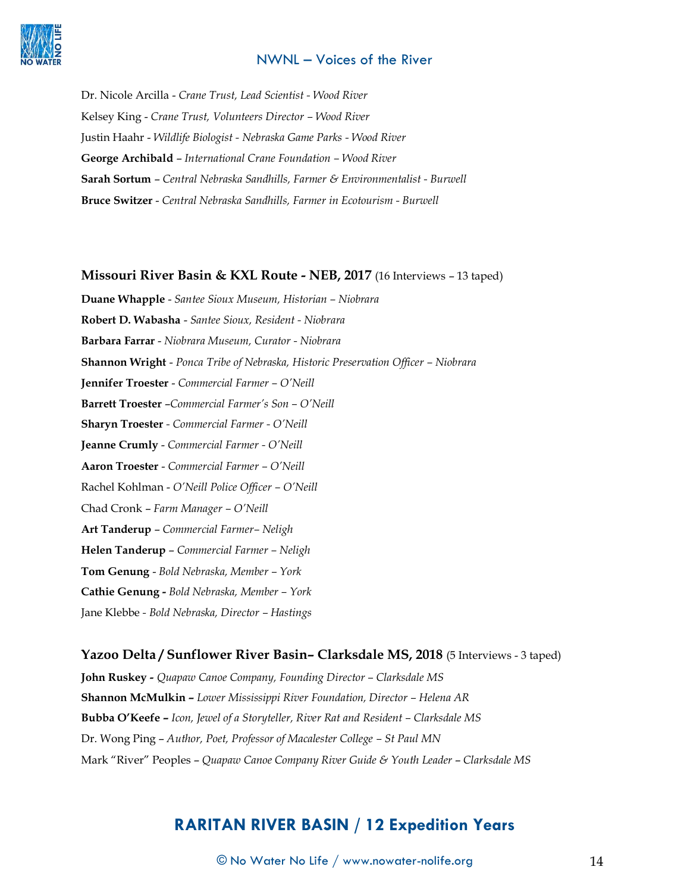

Dr. Nicole Arcilla - *Crane Trust, Lead Scientist - Wood River* Kelsey King - *Crane Trust, Volunteers Director – Wood River* Justin Haahr - *Wildlife Biologist - Nebraska Game Parks - Wood River* **George Archibald** – *International Crane Foundation – Wood River* **Sarah Sortum** – *Central Nebraska Sandhills, Farmer & Environmentalist - Burwell* **Bruce Switzer** - *Central Nebraska Sandhills, Farmer in Ecotourism - Burwell* 

#### **Missouri River Basin & KXL Route - NEB, 2017** (16 Interviews – 13 taped)

**Duane Whapple** - *Santee Sioux Museum, Historian – Niobrara*  **Robert D. Wabasha** - *Santee Sioux, Resident - Niobrara*  **Barbara Farrar** - *Niobrara Museum, Curator - Niobrara*  **Shannon Wright** - *Ponca Tribe of Nebraska, Historic Preservation Officer – Niobrara*  **Jennifer Troester** - *Commercial Farmer – O'Neill*  **Barrett Troester** –*Commercial Farmer's Son – O'Neill*  **Sharyn Troester** *- Commercial Farmer - O'Neill*  **Jeanne Crumly** - *Commercial Farmer - O'Neill*  **Aaron Troester** - *Commercial Farmer – O'Neill*  Rachel Kohlman - *O'Neill Police Officer – O'Neill*  Chad Cronk – *Farm Manager – O'Neill*  **Art Tanderup** – *Commercial Farmer– Neligh*  **Helen Tanderup** – *Commercial Farmer – Neligh*  **Tom Genung** - *Bold Nebraska, Member – York*  **Cathie Genung -** *Bold Nebraska, Member – York*  Jane Klebbe *- Bold Nebraska, Director – Hastings* 

#### **Yazoo Delta / Sunflower River Basin– Clarksdale MS, 2018** (5 Interviews - 3 taped)

**John Ruskey** *- Quapaw Canoe Company, Founding Director – Clarksdale MS* **Shannon McMulkin –** *Lower Mississippi River Foundation, Director – Helena AR* **Bubba O'Keefe –** *Icon, Jewel of a Storyteller, River Rat and Resident – Clarksdale MS* Dr. Wong Ping – *Author, Poet, Professor of Macalester College – St Paul MN* Mark "River" Peoples – *Quapaw Canoe Company River Guide & Youth Leader* – *Clarksdale MS*

## **RARITAN RIVER BASIN / 12 Expedition Years**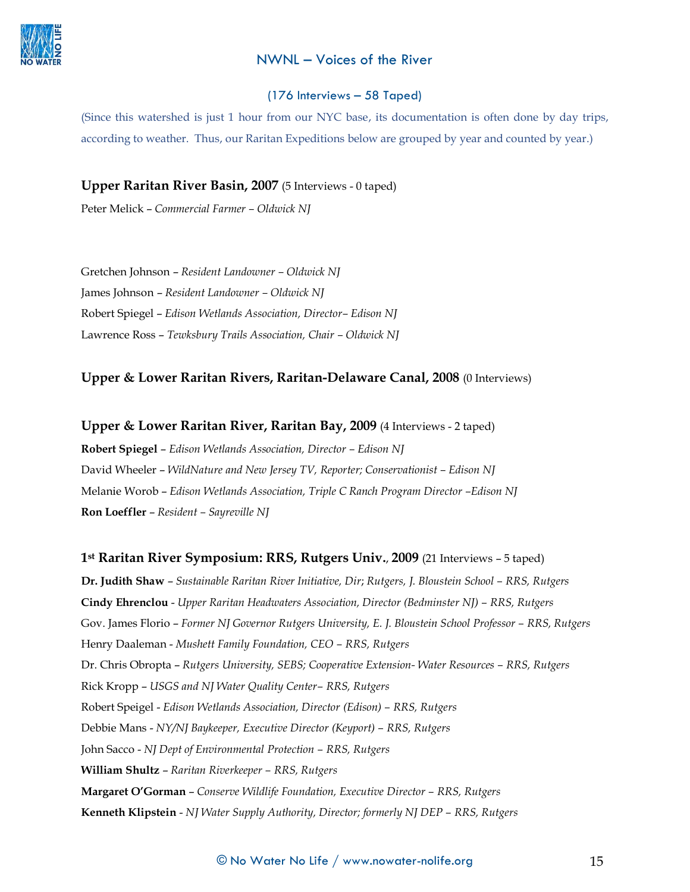

#### (176 Interviews – 58 Taped)

(Since this watershed is just 1 hour from our NYC base, its documentation is often done by day trips, according to weather. Thus, our Raritan Expeditions below are grouped by year and counted by year.)

**Upper Raritan River Basin, 2007** (5 Interviews - 0 taped)

Peter Melick – *Commercial Farmer – Oldwick NJ*

Gretchen Johnson – *Resident Landowner – Oldwick NJ* James Johnson – *Resident Landowner – Oldwick NJ* Robert Spiegel – *Edison Wetlands Association, Director– Edison NJ* Lawrence Ross – *Tewksbury Trails Association, Chair – Oldwick NJ*

## **Upper & Lower Raritan Rivers, Raritan-Delaware Canal, 2008** (0 Interviews)

**Upper & Lower Raritan River, Raritan Bay, 2009** (4 Interviews - 2 taped)

**Robert Spiegel** – *Edison Wetlands Association, Director – Edison NJ* David Wheeler - *WildNature and New Jersey TV, Reporter; Conservationist - Edison NJ* Melanie Worob – *Edison Wetlands Association, Triple C Ranch Program Director –Edison NJ* **Ron Loeffler** – *Resident – Sayreville NJ*

#### **1st Raritan River Symposium: RRS, Rutgers Univ.**, **2009** (21 Interviews – 5 taped)

**Dr. Judith Shaw** – *Sustainable Raritan River Initiative, Dir*; *Rutgers, J. Bloustein School – RRS, Rutgers* **Cindy Ehrenclou** - *Upper Raritan Headwaters Association, Director (Bedminster NJ) – RRS, Rutgers* Gov. James Florio – *Former NJ Governor Rutgers University, E. J. Bloustein School Professor – RRS, Rutgers* Henry Daaleman - *Mushett Family Foundation, CEO – RRS, Rutgers* Dr. Chris Obropta – *Rutgers University, SEBS; Cooperative Extension- Water Resources – RRS, Rutgers* Rick Kropp – *USGS and NJ Water Quality Center– RRS, Rutgers* Robert Speigel - *Edison Wetlands Association, Director (Edison) – RRS, Rutgers* Debbie Mans - *NY/NJ Baykeeper, Executive Director (Keyport) – RRS, Rutgers* John Sacco - *NJ Dept of Environmental Protection – RRS, Rutgers* **William Shultz** – *Raritan Riverkeeper – RRS, Rutgers* **Margaret O'Gorman** – *Conserve Wildlife Foundation, Executive Director – RRS, Rutgers* **Kenneth Klipstein** - *NJ Water Supply Authority, Director; formerly NJ DEP – RRS, Rutgers*

#### $\copyright$  No Water No Life  $/$  www.nowater-nolife.org  $15$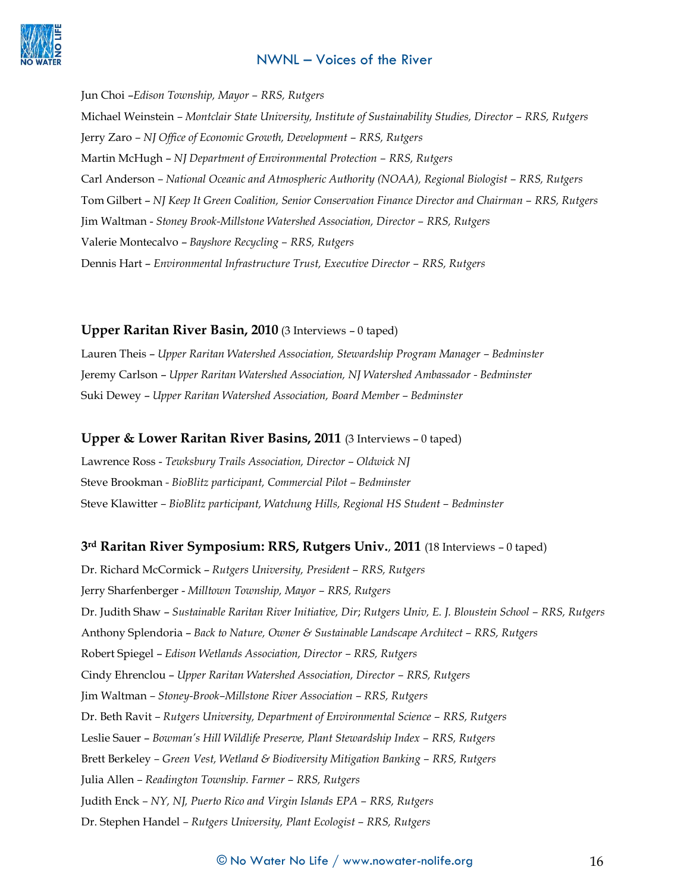

Jun Choi –*Edison Township, Mayor – RRS, Rutgers* Michael Weinstein *– Montclair State University, Institute of Sustainability Studies, Director – RRS, Rutgers* Jerry Zaro *– NJ Office of Economic Growth, Development – RRS, Rutgers* Martin McHugh – *NJ Department of Environmental Protection – RRS, Rutgers* Carl Anderson *– National Oceanic and Atmospheric Authority (NOAA), Regional Biologist – RRS, Rutgers* Tom Gilbert – *NJ Keep It Green Coalition, Senior Conservation Finance Director and Chairman – RRS, Rutgers* Jim Waltman - *Stoney Brook-Millstone Watershed Association, Director – RRS, Rutgers* Valerie Montecalvo – *Bayshore Recycling – RRS, Rutgers* Dennis Hart – *Environmental Infrastructure Trust, Executive Director – RRS, Rutgers*

#### **Upper Raritan River Basin, 2010** (3 Interviews – 0 taped)

Lauren Theis - Upper Raritan Watershed Association, Stewardship Program Manager - Bedminster Jeremy Carlson – *Upper Raritan Watershed Association, NJ Watershed Ambassador - Bedminster* Suki Dewey – *Upper Raritan Watershed Association, Board Member – Bedminster*

#### **Upper & Lower Raritan River Basins, 2011** (3 Interviews – 0 taped)

Lawrence Ross - *Tewksbury Trails Association, Director – Oldwick NJ* Steve Brookman *- BioBlitz participant, Commercial Pilot – Bedminster* Steve Klawitter *– BioBlitz participant, Watchung Hills, Regional HS Student – Bedminster*

#### **3rd Raritan River Symposium: RRS, Rutgers Univ.**, **2011** (18 Interviews – 0 taped)

Dr. Richard McCormick – *Rutgers University, President – RRS, Rutgers* Jerry Sharfenberger - *Milltown Township, Mayor – RRS, Rutgers* Dr. Judith Shaw – *Sustainable Raritan River Initiative, Dir*; *Rutgers Univ, E. J. Bloustein School – RRS, Rutgers* Anthony Splendoria – *Back to Nature, Owner & Sustainable Landscape Architect – RRS, Rutgers* Robert Spiegel – *Edison Wetlands Association, Director – RRS, Rutgers* Cindy Ehrenclou – *Upper Raritan Watershed Association, Director – RRS, Rutgers* Jim Waltman *– Stoney-Brook–Millstone River Association – RRS, Rutgers* Dr. Beth Ravit *– Rutgers University, Department of Environmental Science – RRS, Rutgers* Leslie Sauer – *Bowman's Hill Wildlife Preserve, Plant Stewardship Index – RRS, Rutgers* Brett Berkeley *– Green Vest, Wetland & Biodiversity Mitigation Banking – RRS, Rutgers* Julia Allen *– Readington Township. Farmer – RRS, Rutgers* Judith Enck *– NY, NJ, Puerto Rico and Virgin Islands EPA – RRS, Rutgers* Dr. Stephen Handel *– Rutgers University, Plant Ecologist – RRS, Rutgers*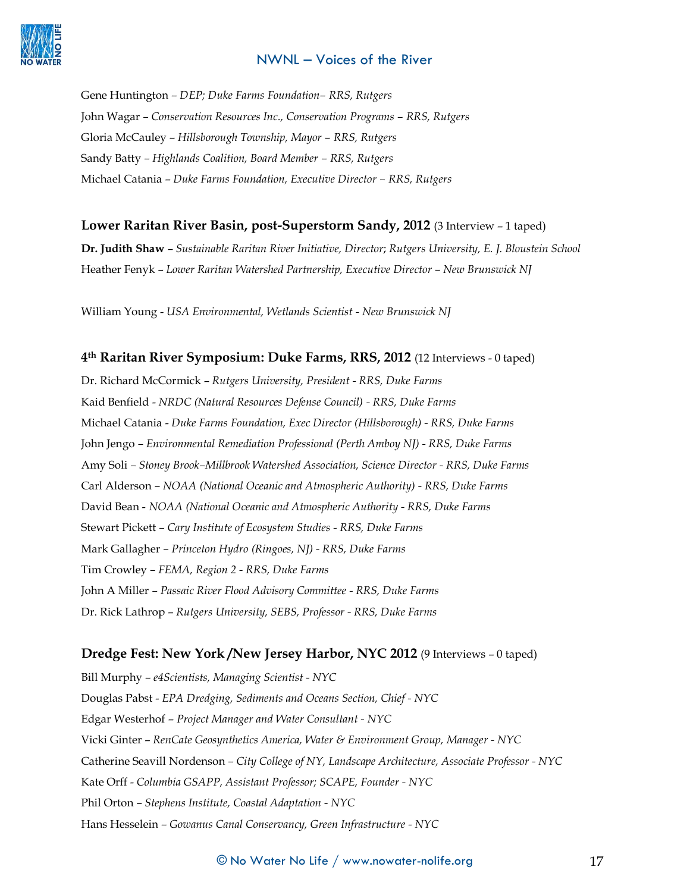

Gene Huntington *– DEP; Duke Farms Foundation– RRS, Rutgers* John Wagar *– Conservation Resources Inc., Conservation Programs – RRS, Rutgers* Gloria McCauley *– Hillsborough Township, Mayor – RRS, Rutgers* Sandy Batty *– Highlands Coalition, Board Member – RRS, Rutgers* Michael Catania – *Duke Farms Foundation, Executive Director – RRS, Rutgers*

## **Lower Raritan River Basin, post-Superstorm Sandy, 2012** (3 Interview – 1 taped)

**Dr. Judith Shaw** – *Sustainable Raritan River Initiative, Director*; *Rutgers University, E. J. Bloustein School*  Heather Fenyk – *Lower Raritan Watershed Partnership, Executive Director – New Brunswick NJ*

William Young - *USA Environmental, Wetlands Scientist - New Brunswick NJ*

#### **4th Raritan River Symposium: Duke Farms, RRS, 2012** (12 Interviews - 0 taped)

Dr. Richard McCormick – *Rutgers University, President - RRS, Duke Farms* Kaid Benfield - *NRDC (Natural Resources Defense Council) - RRS, Duke Farms* Michael Catania - *Duke Farms Foundation, Exec Director (Hillsborough) - RRS, Duke Farms* John Jengo *– Environmental Remediation Professional (Perth Amboy NJ) - RRS, Duke Farms* Amy Soli *– Stoney Brook–Millbrook Watershed Association, Science Director - RRS, Duke Farms* Carl Alderson *– NOAA (National Oceanic and Atmospheric Authority) - RRS, Duke Farms* David Bean - *NOAA (National Oceanic and Atmospheric Authority - RRS, Duke Farms* Stewart Pickett *– Cary Institute of Ecosystem Studies - RRS, Duke Farms* Mark Gallagher *– Princeton Hydro (Ringoes, NJ) - RRS, Duke Farms*  Tim Crowley *– FEMA, Region 2 - RRS, Duke Farms*  John A Miller *– Passaic River Flood Advisory Committee - RRS, Duke Farms* Dr. Rick Lathrop – *Rutgers University, SEBS, Professor - RRS, Duke Farms*

#### **Dredge Fest: New York /New Jersey Harbor, NYC 2012** (9 Interviews – 0 taped)

Bill Murphy *– e4Scientists, Managing Scientist - NYC* Douglas Pabst - *EPA Dredging, Sediments and Oceans Section, Chief - NYC* Edgar Westerhof – *Project Manager and Water Consultant - NYC* Vicki Ginter – *RenCate Geosynthetics America, Water & Environment Group, Manager - NYC*  Catherine Seavill Nordenson *– City College of NY, Landscape Architecture, Associate Professor - NYC* Kate Orff - *Columbia GSAPP, Assistant Professor; SCAPE, Founder - NYC* Phil Orton *– Stephens Institute, Coastal Adaptation - NYC* Hans Hesselein *– Gowanus Canal Conservancy, Green Infrastructure - NYC*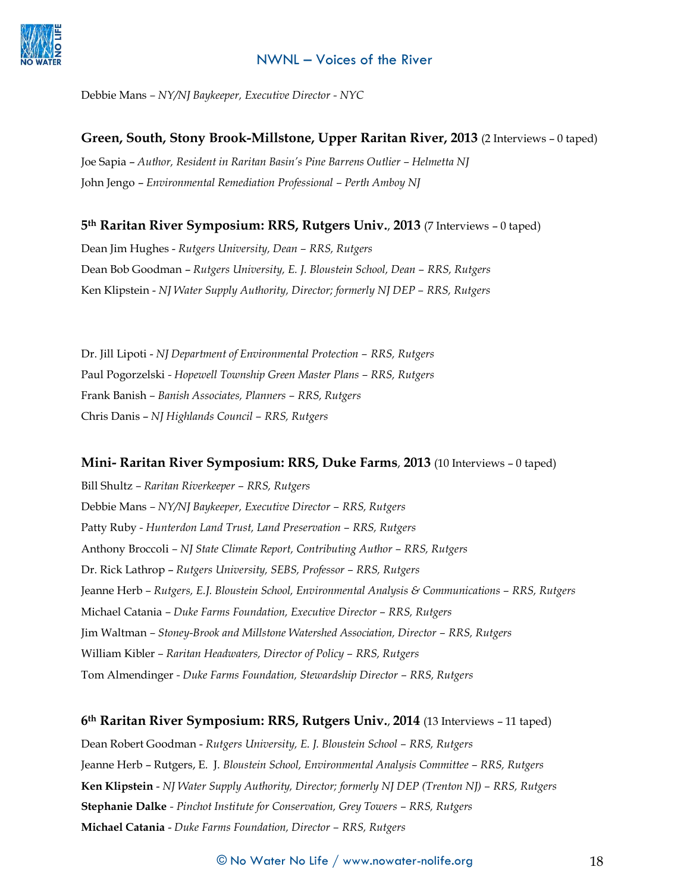

Debbie Mans *– NY/NJ Baykeeper, Executive Director - NYC*

**Green, South, Stony Brook-Millstone, Upper Raritan River, 2013** (2 Interviews – 0 taped) Joe Sapia – *Author, Resident in Raritan Basin's Pine Barrens Outlier – Helmetta NJ* John Jengo – *Environmental Remediation Professional – Perth Amboy NJ*

## **5th Raritan River Symposium: RRS, Rutgers Univ.**, **2013** (7 Interviews – 0 taped)

Dean Jim Hughes - *Rutgers University, Dean – RRS, Rutgers* Dean Bob Goodman – *Rutgers University, E. J. Bloustein School, Dean – RRS, Rutgers* Ken Klipstein - *NJ Water Supply Authority, Director; formerly NJ DEP – RRS, Rutgers*

Dr. Jill Lipoti - *NJ Department of Environmental Protection – RRS, Rutgers* Paul Pogorzelski *- Hopewell Township Green Master Plans – RRS, Rutgers* Frank Banish *– Banish Associates, Planners – RRS, Rutgers* Chris Danis – *NJ Highlands Council – RRS, Rutgers*

## **Mini- Raritan River Symposium: RRS, Duke Farms**, **2013** (10 Interviews – 0 taped)

Bill Shultz *– Raritan Riverkeeper – RRS, Rutgers* Debbie Mans *– NY/NJ Baykeeper, Executive Director – RRS, Rutgers* Patty Ruby *- Hunterdon Land Trust, Land Preservation – RRS, Rutgers* Anthony Broccoli *– NJ State Climate Report, Contributing Author – RRS, Rutgers* Dr. Rick Lathrop – *Rutgers University, SEBS, Professor – RRS, Rutgers* Jeanne Herb *– Rutgers, E.J. Bloustein School, Environmental Analysis & Communications – RRS, Rutgers* Michael Catania *– Duke Farms Foundation, Executive Director – RRS, Rutgers* Jim Waltman *– Stoney-Brook and Millstone Watershed Association, Director – RRS, Rutgers* William Kibler *– Raritan Headwaters, Director of Policy – RRS, Rutgers* Tom Almendinger *- Duke Farms Foundation, Stewardship Director – RRS, Rutgers*

## **6th Raritan River Symposium: RRS, Rutgers Univ.**, **2014** (13 Interviews – 11 taped)

Dean Robert Goodman - *Rutgers University, E. J. Bloustein School – RRS, Rutgers* Jeanne Herb – Rutgers, E. J. *Bloustein School, Environmental Analysis Committee – RRS, Rutgers* **Ken Klipstein** - *NJ Water Supply Authority, Director; formerly NJ DEP (Trenton NJ) – RRS, Rutgers* **Stephanie Dalke** *- Pinchot Institute for Conservation, Grey Towers – RRS, Rutgers* **Michael Catania** - *Duke Farms Foundation, Director – RRS, Rutgers*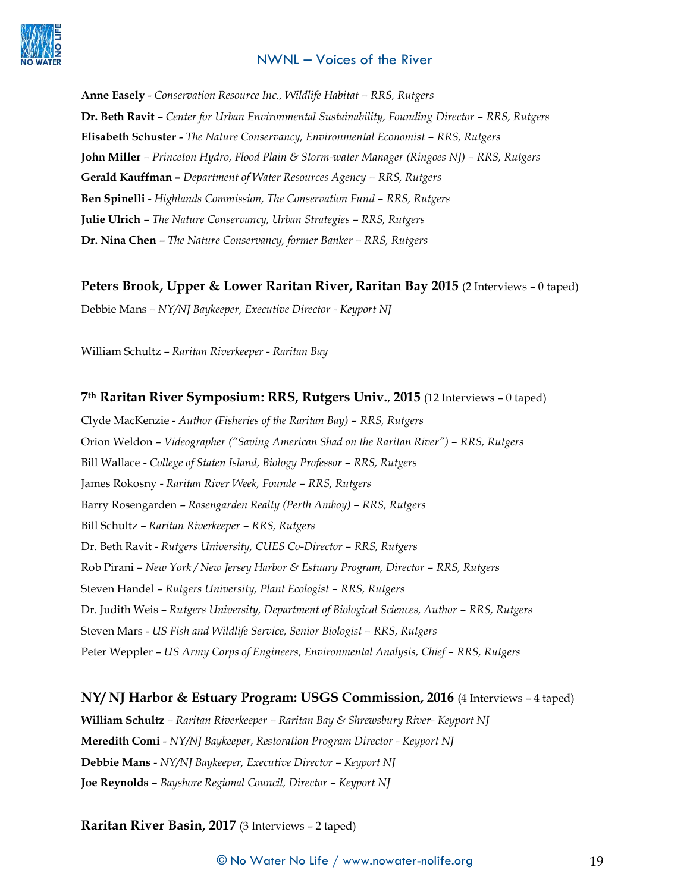

**Anne Easely** - *Conservation Resource Inc., Wildlife Habitat – RRS, Rutgers* **Dr. Beth Ravit** – *Center for Urban Environmental Sustainability, Founding Director – RRS, Rutgers* **Elisabeth Schuster -** *The Nature Conservancy, Environmental Economist – RRS, Rutgers* **John Miller** *– Princeton Hydro, Flood Plain & Storm-water Manager (Ringoes NJ) – RRS, Rutgers* **Gerald Kauffman –** *Department of Water Resources Agency – RRS, Rutgers* **Ben Spinelli** - *Highlands Commission, The Conservation Fund – RRS, Rutgers*  **Julie Ulrich** – *The Nature Conservancy, Urban Strategies – RRS, Rutgers* **Dr. Nina Chen** – *The Nature Conservancy, former Banker – RRS, Rutgers*

#### **Peters Brook, Upper & Lower Raritan River, Raritan Bay 2015** (2 Interviews – 0 taped)

Debbie Mans *– NY/NJ Baykeeper, Executive Director - Keyport NJ*

William Schultz – *Raritan Riverkeeper - Raritan Bay*

#### **7th Raritan River Symposium: RRS, Rutgers Univ.**, **2015** (12 Interviews – 0 taped)

Clyde MacKenzie - *Author (Fisheries of the Raritan Bay) – RRS, Rutgers* Orion Weldon – *Videographer ("Saving American Shad on the Raritan River") – RRS, Rutgers* Bill Wallace - *College of Staten Island, Biology Professor – RRS, Rutgers* James Rokosny - *Raritan River Week, Founde – RRS, Rutgers* Barry Rosengarden – *Rosengarden Realty (Perth Amboy) – RRS, Rutgers* Bill Schultz – *Raritan Riverkeeper – RRS, Rutgers* Dr. Beth Ravit - *Rutgers University, CUES Co-Director – RRS, Rutgers* Rob Pirani *– New York / New Jersey Harbor & Estuary Program, Director – RRS, Rutgers* Steven Handel – *Rutgers University, Plant Ecologist – RRS, Rutgers* Dr. Judith Weis – *Rutgers University, Department of Biological Sciences, Author – RRS, Rutgers* Steven Mars - *US Fish and Wildlife Service, Senior Biologist – RRS, Rutgers* Peter Weppler – *US Army Corps of Engineers, Environmental Analysis, Chief – RRS, Rutgers*

#### **NY/ NJ Harbor & Estuary Program: USGS Commission, 2016** (4 Interviews – 4 taped)

**William Schultz** *– Raritan Riverkeeper – Raritan Bay & Shrewsbury River- Keyport NJ* **Meredith Comi** - *NY/NJ Baykeeper, Restoration Program Director - Keyport NJ* **Debbie Mans** - *NY/NJ Baykeeper, Executive Director – Keyport NJ* **Joe Reynolds** *– Bayshore Regional Council, Director – Keyport NJ*

#### **Raritan River Basin, 2017** (3 Interviews – 2 taped)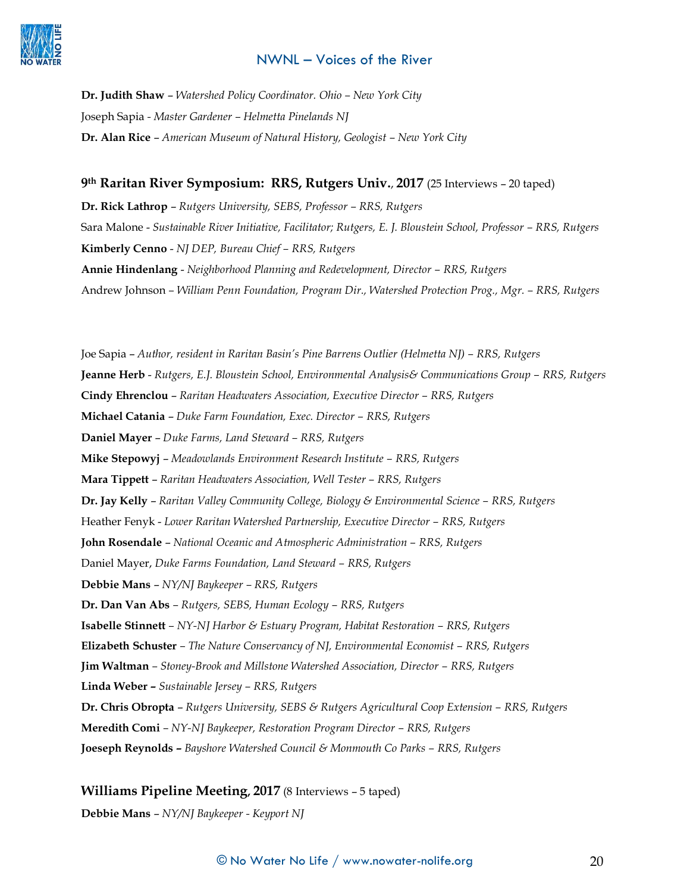

**Dr. Judith Shaw** – *Watershed Policy Coordinator. Ohio – New York City* Joseph Sapia *- Master Gardener – Helmetta Pinelands NJ* **Dr. Alan Rice** – *American Museum of Natural History, Geologist – New York City*

#### **9th Raritan River Symposium: RRS, Rutgers Univ.**, **2017** (25 Interviews – 20 taped)

**Dr. Rick Lathrop** – *Rutgers University, SEBS, Professor – RRS, Rutgers* Sara Malone - *Sustainable River Initiative, Facilitator; Rutgers, E. J. Bloustein School, Professor – RRS, Rutgers* **Kimberly Cenno** - *NJ DEP, Bureau Chief – RRS, Rutgers* **Annie Hindenlang** - *Neighborhood Planning and Redevelopment, Director – RRS, Rutgers* Andrew Johnson *– William Penn Foundation, Program Dir., Watershed Protection Prog., Mgr. – RRS, Rutgers*

Joe Sapia – *Author, resident in Raritan Basin's Pine Barrens Outlier (Helmetta NJ) – RRS, Rutgers* **Jeanne Herb** - *Rutgers, E.J. Bloustein School, Environmental Analysis& Communications Group – RRS, Rutgers* **Cindy Ehrenclou** – *Raritan Headwaters Association, Executive Director – RRS, Rutgers* **Michael Catania** – *Duke Farm Foundation, Exec. Director – RRS, Rutgers* **Daniel Mayer** – *Duke Farms, Land Steward – RRS, Rutgers* **Mike Stepowyj** – *Meadowlands Environment Research Institute – RRS, Rutgers* **Mara Tippett** – *Raritan Headwaters Association, Well Tester – RRS, Rutgers* **Dr. Jay Kelly** – *Raritan Valley Community College, Biology & Environmental Science – RRS, Rutgers* Heather Fenyk - *Lower Raritan Watershed Partnership, Executive Director – RRS, Rutgers* **John Rosendale** – *National Oceanic and Atmospheric Administration – RRS, Rutgers* Daniel Mayer, *Duke Farms Foundation, Land Steward – RRS, Rutgers* **Debbie Mans** – *NY/NJ Baykeeper – RRS, Rutgers* **Dr. Dan Van Abs** *– Rutgers, SEBS, Human Ecology – RRS, Rutgers* **Isabelle Stinnett** *– NY-NJ Harbor & Estuary Program, Habitat Restoration – RRS, Rutgers* **Elizabeth Schuster** *– The Nature Conservancy of NJ, Environmental Economist – RRS, Rutgers* **Jim Waltman** *– Stoney-Brook and Millstone Watershed Association, Director – RRS, Rutgers* **Linda Weber –** *Sustainable Jersey – RRS, Rutgers* **Dr. Chris Obropta** – *Rutgers University, SEBS & Rutgers Agricultural Coop Extension – RRS, Rutgers* **Meredith Comi** *– NY-NJ Baykeeper, Restoration Program Director – RRS, Rutgers* **Joeseph Reynolds –** *Bayshore Watershed Council & Monmouth Co Parks – RRS, Rutgers*

#### **Williams Pipeline Meeting, 2017** (8 Interviews – 5 taped)

**Debbie Mans** – *NY/NJ Baykeeper - Keyport NJ*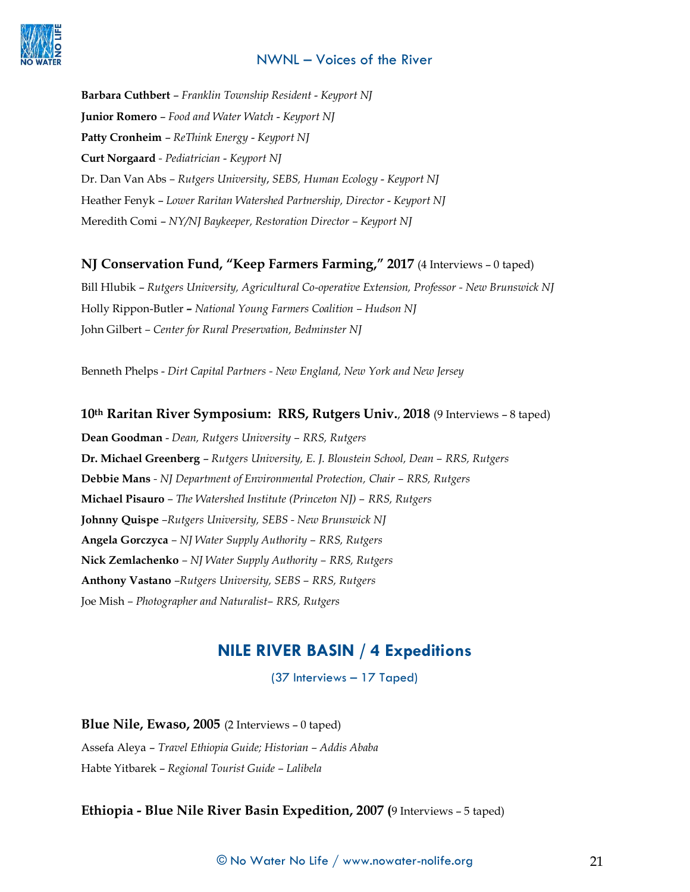

**Barbara Cuthbert** – *Franklin Township Resident* - *Keyport NJ* **Junior Romero** – *Food and Water Watch* - *Keyport NJ*  **Patty Cronheim** – *ReThink Energy* - *Keyport NJ* **Curt Norgaard** *- Pediatrician* - *Keyport NJ* Dr. Dan Van Abs *– Rutgers University*, *SEBS, Human Ecology* - *Keyport NJ* Heather Fenyk – *Lower Raritan Watershed Partnership, Director* - *Keyport NJ*  Meredith Comi – *NY/NJ Baykeeper, Restoration Director – Keyport NJ*

## **NJ Conservation Fund, "Keep Farmers Farming," 2017** (4 Interviews – 0 taped)

Bill Hlubik – *Rutgers University, Agricultural Co-operative Extension, Professor - New Brunswick NJ* Holly Rippon-Butler *– National Young Farmers Coalition – Hudson NJ* John Gilbert *– Center for Rural Preservation, Bedminster NJ*

Benneth Phelps - *Dirt Capital Partners - New England, New York and New Jersey*

## **10th Raritan River Symposium: RRS, Rutgers Univ.**, **2018** (9 Interviews – 8 taped)

**Dean Goodman** - *Dean, Rutgers University – RRS, Rutgers*  **Dr. Michael Greenberg** – *Rutgers University, E. J. Bloustein School, Dean – RRS, Rutgers* **Debbie Mans** *- NJ Department of Environmental Protection, Chair – RRS, Rutgers* **Michael Pisauro** *– The Watershed Institute (Princeton NJ) – RRS, Rutgers* **Johnny Quispe** *–Rutgers University, SEBS - New Brunswick NJ* **Angela Gorczyca** *– NJ Water Supply Authority – RRS, Rutgers* **Nick Zemlachenko** *– NJ Water Supply Authority – RRS, Rutgers* **Anthony Vastano** *–Rutgers University, SEBS – RRS, Rutgers* Joe Mish *– Photographer and Naturalist– RRS, Rutgers*

# **NILE RIVER BASIN / 4 Expeditions**

(37 Interviews – 17 Taped)

**Blue Nile, Ewaso, 2005** (2 Interviews – 0 taped) Assefa Aleya – *Travel Ethiopia Guide; Historian – Addis Ababa* Habte Yitbarek – *Regional Tourist Guide – Lalibela*

## **Ethiopia - Blue Nile River Basin Expedition, 2007 (**9 Interviews – 5 taped)

 $\copyright$  No Water No Life  $/$  www.nowater-nolife.org  $21$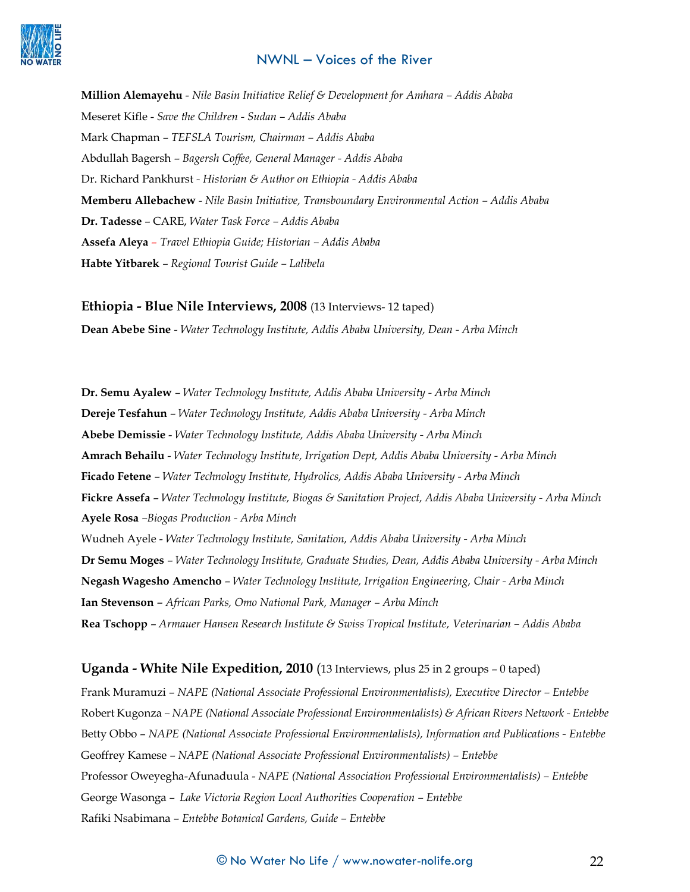**Million Alemayehu** - *Nile Basin Initiative Relief & Development for Amhara – Addis Ababa* Meseret Kifle - *Save the Children - Sudan – Addis Ababa* Mark Chapman – *TEFSLA Tourism, Chairman – Addis Ababa* Abdullah Bagersh – *Bagersh Coffee, General Manager - Addis Ababa* Dr. Richard Pankhurst *- Historian & Author on Ethiopia - Addis Ababa* **Memberu Allebachew** - *Nile Basin Initiative, Transboundary Environmental Action – Addis Ababa* **Dr. Tadesse** – CARE, *Water Task Force – Addis Ababa* **Assefa Aleya** – *Travel Ethiopia Guide; Historian – Addis Ababa* **Habte Yitbarek** – *Regional Tourist Guide – Lalibela*

## **Ethiopia - Blue Nile Interviews, 2008** (13 Interviews- 12 taped)

**Dean Abebe Sine** - *Water Technology Institute, Addis Ababa University, Dean - Arba Minch* 

**Dr. Semu Ayalew** – *Water Technology Institute, Addis Ababa University - Arba Minch* **Dereje Tesfahun** – *Water Technology Institute, Addis Ababa University - Arba Minch* **Abebe Demissie** - *Water Technology Institute, Addis Ababa University - Arba Minch* **Amrach Behailu** - *Water Technology Institute, Irrigation Dept, Addis Ababa University - Arba Minch* **Ficado Fetene** – *Water Technology Institute, Hydrolics, Addis Ababa University - Arba Minch* **Fickre Assefa** – *Water Technology Institute, Biogas & Sanitation Project, Addis Ababa University - Arba Minch* **Ayele Rosa** *–Biogas Production - Arba Minch*  Wudneh Ayele - *Water Technology Institute, Sanitation, Addis Ababa University - Arba Minch*  **Dr Semu Moges** – *Water Technology Institute, Graduate Studies, Dean, Addis Ababa University - Arba Minch*  **Negash Wagesho Amencho** – *Water Technology Institute, Irrigation Engineering, Chair - Arba Minch* **Ian Stevenson** – *African Parks, Omo National Park, Manager – Arba Minch*  **Rea Tschopp** – *Armauer Hansen Research Institute & Swiss Tropical Institute, Veterinarian – Addis Ababa*

#### **Uganda - White Nile Expedition, 2010** (13 Interviews, plus 25 in 2 groups – 0 taped)

Frank Muramuzi – *NAPE (National Associate Professional Environmentalists), Executive Director – Entebbe* Robert Kugonza *– NAPE (National Associate Professional Environmentalists) & African Rivers Network - Entebbe* Betty Obbo – *NAPE (National Associate Professional Environmentalists), Information and Publications - Entebbe* Geoffrey Kamese – *NAPE (National Associate Professional Environmentalists) – Entebbe* Professor Oweyegha-Afunaduula - *NAPE (National Association Professional Environmentalists) – Entebbe* George Wasonga - *Lake Victoria Region Local Authorities Cooperation - Entebbe* Rafiki Nsabimana – *Entebbe Botanical Gardens, Guide – Entebbe*

## © No Water No Life / www.nowater-nolife.org 22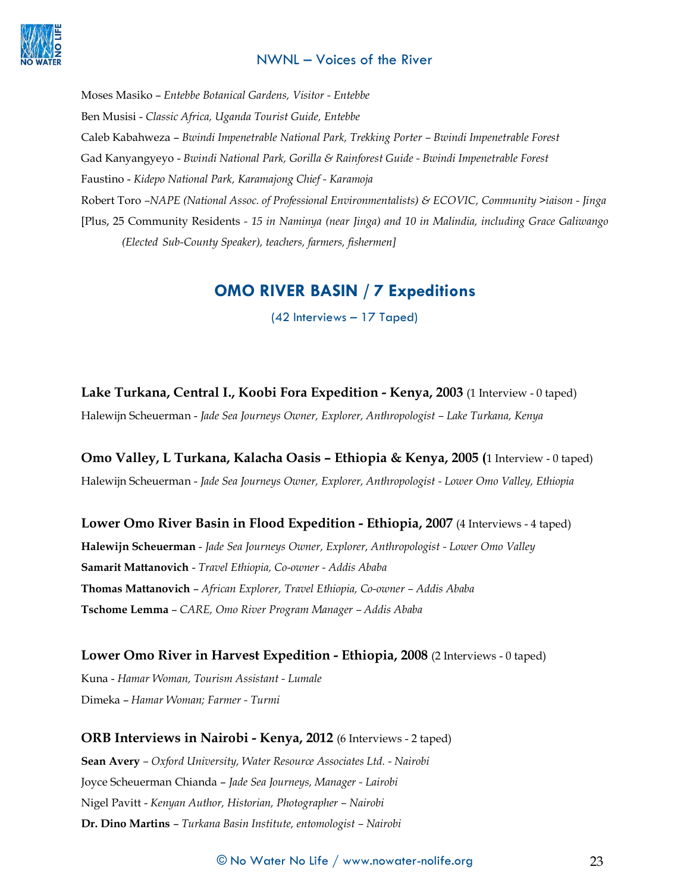

Moses Masiko – *Entebbe Botanical Gardens, Visitor - Entebbe* Ben Musisi - *Classic Africa, Uganda Tourist Guide, Entebbe* Caleb Kabahweza – *Bwindi Impenetrable National Park, Trekking Porter – Bwindi Impenetrable Forest* Gad Kanyangyeyo - *Bwindi National Park, Gorilla & Rainforest Guide - Bwindi Impenetrable Forest* Faustino - *Kidepo National Park, Karamajong Chief - Karamoja* Robert Toro *–NAPE (National Assoc. of Professional Environmentalists) & ECOVIC, Community >iaison - Jinga* [Plus, 25 Community Residents *- 15 in Naminya (near Jinga) and 10 in Malindia, including Grace Galiwango (Elected Sub-County Speaker), teachers, farmers, fishermen]*

## **OMO RIVER BASIN / 7 Expeditions**

(42 Interviews – 17 Taped)

**Lake Turkana, Central I., Koobi Fora Expedition - Kenya, 2003** (1 Interview - 0 taped) Halewijn Scheuerman - *Jade Sea Journeys Owner, Explorer, Anthropologist – Lake Turkana, Kenya*

**Omo Valley, L Turkana, Kalacha Oasis – Ethiopia & Kenya, 2005 (**1 Interview - 0 taped) Halewijn Scheuerman - *Jade Sea Journeys Owner, Explorer, Anthropologist - Lower Omo Valley, Ethiopia*

**Lower Omo River Basin in Flood Expedition - Ethiopia, 2007** (4 Interviews - 4 taped) **Halewijn Scheuerman** - *Jade Sea Journeys Owner, Explorer, Anthropologist - Lower Omo Valley* **Samarit Mattanovich** - *Travel Ethiopia, Co-owner - Addis Ababa* **Thomas Mattanovich** – *African Explorer, Travel Ethiopia, Co-owner – Addis Ababa* **Tschome Lemma** – *CARE, Omo River Program Manager – Addis Ababa*

**Lower Omo River in Harvest Expedition - Ethiopia, 2008** (2 Interviews - 0 taped)

Kuna - *Hamar Woman, Tourism Assistant - Lumale* Dimeka – *Hamar Woman; Farmer - Turmi*

**ORB Interviews in Nairobi - Kenya, 2012** (6 Interviews - 2 taped)

**Sean Avery** *– Oxford University, Water Resource Associates Ltd. - Nairobi* Joyce Scheuerman Chianda – *Jade Sea Journeys, Manager - Lairobi* Nigel Pavitt - *Kenyan Author, Historian, Photographer – Nairobi* **Dr. Dino Martins** – *Turkana Basin Institute, entomologist – Nairobi*

© No Water No Life / www.nowater-nolife.org 23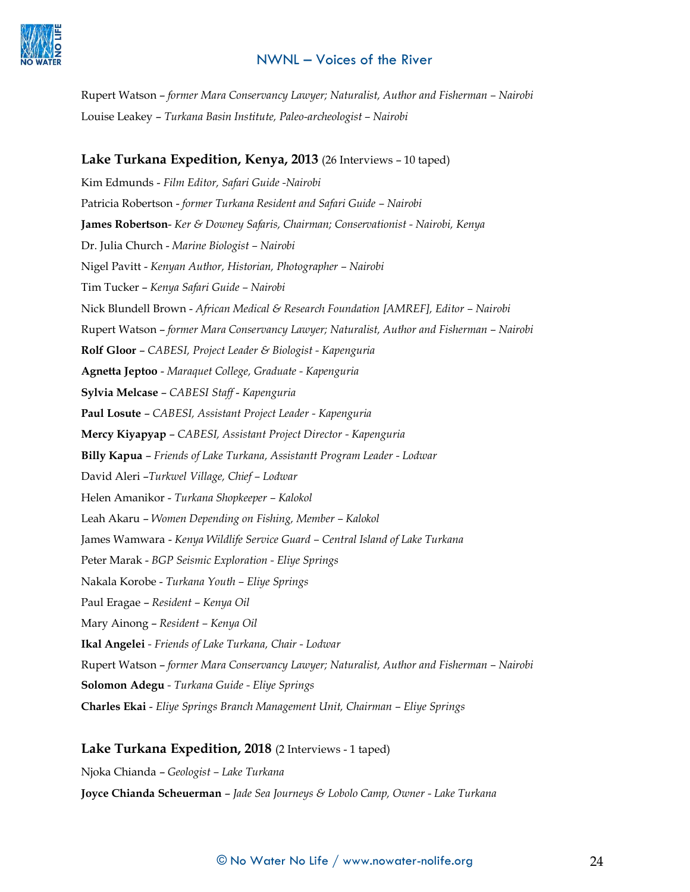

Rupert Watson – *former Mara Conservancy Lawyer; Naturalist, Author and Fisherman – Nairobi* Louise Leakey – *Turkana Basin Institute, Paleo-archeologist – Nairobi*

## **Lake Turkana Expedition, Kenya, 2013** (26 Interviews – 10 taped)

Kim Edmunds - *Film Editor, Safari Guide -Nairobi*  Patricia Robertson - *former Turkana Resident and Safari Guide – Nairobi* **James Robertson**- *Ker & Downey Safaris, Chairman; Conservationist - Nairobi, Kenya* Dr. Julia Church - *Marine Biologist – Nairobi* Nigel Pavitt - *Kenyan Author, Historian, Photographer – Nairobi* Tim Tucker – *Kenya Safari Guide – Nairobi* Nick Blundell Brown - *African Medical & Research Foundation [AMREF], Editor – Nairobi* Rupert Watson – *former Mara Conservancy Lawyer; Naturalist, Author and Fisherman – Nairobi* **Rolf Gloor** – *CABESI, Project Leader & Biologist - Kapenguria* **Agnetta Jeptoo** - *Maraquet College, Graduate - Kapenguria* **Sylvia Melcase** – *CABESI Staff* - *Kapenguria* **Paul Losute** – *CABESI, Assistant Project Leader - Kapenguria* **Mercy Kiyapyap** – *CABESI, Assistant Project Director - Kapenguria* **Billy Kapua** – *Friends of Lake Turkana, Assistantt Program Leader - Lodwar*  David Aleri –*Turkwel Village, Chief – Lodwar* Helen Amanikor - *Turkana Shopkeeper – Kalokol* Leah Akaru – *Women Depending on Fishing, Member – Kalokol* James Wamwara - *Kenya Wildlife Service Guard – Central Island of Lake Turkana* Peter Marak - *BGP Seismic Exploration - Eliye Springs* Nakala Korobe - *Turkana Youth – Eliye Springs* Paul Eragae – *Resident – Kenya Oil* Mary Ainong – *Resident – Kenya Oil* **Ikal Angelei** *- Friends of Lake Turkana, Chair - Lodwar* Rupert Watson – *former Mara Conservancy Lawyer; Naturalist, Author and Fisherman – Nairobi* **Solomon Adegu** *- Turkana Guide - Eliye Springs* **Charles Ekai** - *Eliye Springs Branch Management Unit, Chairman – Eliye Springs*

#### **Lake Turkana Expedition, 2018** (2 Interviews - 1 taped)

Njoka Chianda – *Geologist – Lake Turkana*

**Joyce Chianda Scheuerman** – *Jade Sea Journeys & Lobolo Camp, Owner - Lake Turkana*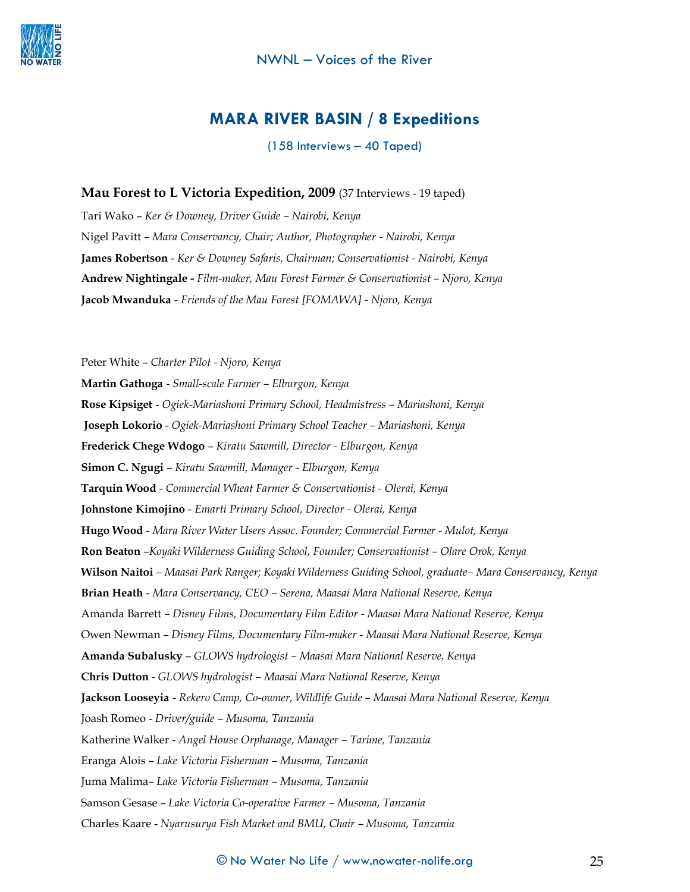

## **MARA RIVER BASIN / 8 Expeditions**

(158 Interviews – 40 Taped)

#### **Mau Forest to L Victoria Expedition, 2009** (37 Interviews - 19 taped)

Tari Wako – *Ker & Downey, Driver Guide – Nairobi, Kenya* Nigel Pavitt – *Mara Conservancy, Chair; Author, Photographer - Nairobi, Kenya* **James Robertson** - *Ker & Downey Safaris, Chairman; Conservationist - Nairobi, Kenya* **Andrew Nightingale -** *Film-maker, Mau Forest Farmer & Conservationist – Njoro, Kenya* **Jacob Mwanduka** - *Friends of the Mau Forest [FOMAWA] - Njoro, Kenya*

Peter White – *Charter Pilot - Njoro, Kenya* **Martin Gathoga** - *Small-scale Farmer – Elburgon, Kenya* **Rose Kipsiget** - *Ogiek-Mariashoni Primary School, Headmistress – Mariashoni, Kenya* **Joseph Lokorio** - *Ogiek-Mariashoni Primary School Teacher – Mariashoni, Kenya* **Frederick Chege Wdogo** – *Kiratu Sawmill, Director - Elburgon, Kenya* **Simon C. Ngugi** – *Kiratu Sawmill, Manager - Elburgon, Kenya* **Tarquin Wood** - *Commercial Wheat Farmer & Conservationist - Olerai, Kenya* **Johnstone Kimojino** - *Emarti Primary School, Director - Olerai, Kenya* **Hugo Wood** - *Mara River Water Users Assoc. Founder; Commercial Farmer - Mulot, Kenya* **Ron Beaton** –*Koyaki Wilderness Guiding School, Founder; Conservationist – Olare Orok, Kenya* **Wilson Naitoi** *– Maasai Park Ranger; Koyaki Wilderness Guiding School, graduate– Mara Conservancy, Kenya* **Brian Heath** - *Mara Conservancy, CEO – Serena, Maasai Mara National Reserve, Kenya* Amanda Barrett *– Disney Films, Documentary Film Editor - Maasai Mara National Reserve, Kenya* Owen Newman – *Disney Films, Documentary Film-maker - Maasai Mara National Reserve, Kenya* **Amanda Subalusky** – *GLOWS hydrologist – Maasai Mara National Reserve, Kenya* **Chris Dutton** - *GLOWS hydrologist – Maasai Mara National Reserve, Kenya* **Jackson Looseyia** - *Rekero Camp, Co-owner, Wildlife Guide – Maasai Mara National Reserve, Kenya* Joash Romeo - *Driver/guide – Musoma, Tanzania* Katherine Walker - *Angel House Orphanage, Manager – Tarime, Tanzania* Eranga Alois – *Lake Victoria Fisherman – Musoma, Tanzania* Juma Malima– *Lake Victoria Fisherman – Musoma, Tanzania* Samson Gesase – *Lake Victoria Co-operative Farmer – Musoma, Tanzania* Charles Kaare - *Nyarusurya Fish Market and BMU, Chair – Musoma, Tanzania*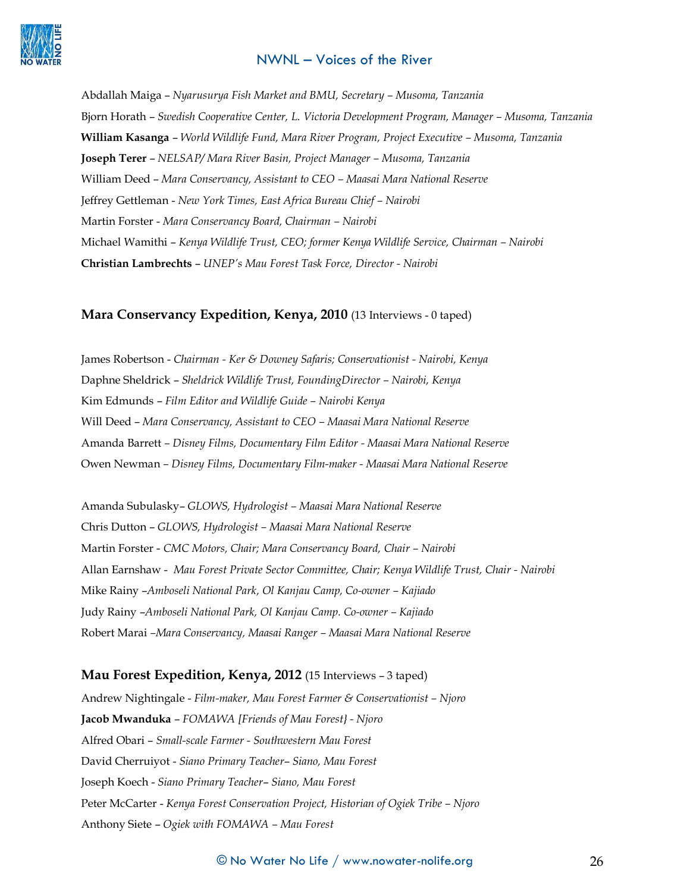

Abdallah Maiga – *Nyarusurya Fish Market and BMU, Secretary – Musoma, Tanzania* Bjorn Horath – *Swedish Cooperative Center, L. Victoria Development Program, Manager – Musoma, Tanzania* **William Kasanga** – *World Wildlife Fund, Mara River Program, Project Executive – Musoma, Tanzania* **Joseph Terer** – *NELSAP/ Mara River Basin, Project Manager – Musoma, Tanzania* William Deed – *Mara Conservancy, Assistant to CEO – Maasai Mara National Reserve* Jeffrey Gettleman - *New York Times, East Africa Bureau Chief – Nairobi* Martin Forster - *Mara Conservancy Board, Chairman – Nairobi*  Michael Wamithi – *Kenya Wildlife Trust, CEO; former Kenya Wildlife Service, Chairman – Nairobi* **Christian Lambrechts** – *UNEP's Mau Forest Task Force, Director - Nairobi*

#### **Mara Conservancy Expedition, Kenya, 2010** (13 Interviews - 0 taped)

James Robertson - *Chairman - Ker & Downey Safaris; Conservationist - Nairobi, Kenya* Daphne Sheldrick – *Sheldrick Wildlife Trust, FoundingDirector – Nairobi, Kenya* Kim Edmunds – *Film Editor and Wildlife Guide – Nairobi Kenya* Will Deed – *Mara Conservancy, Assistant to CEO – Maasai Mara National Reserve* Amanda Barrett *– Disney Films, Documentary Film Editor - Maasai Mara National Reserve* Owen Newman *– Disney Films, Documentary Film-maker - Maasai Mara National Reserve*

Amanda Subulasky– *GLOWS, Hydrologist – Maasai Mara National Reserve* Chris Dutton – *GLOWS, Hydrologist – Maasai Mara National Reserve* Martin Forster - *CMC Motors, Chair; Mara Conservancy Board, Chair – Nairobi* Allan Earnshaw - *Mau Forest Private Sector Committee, Chair; Kenya Wildlife Trust, Chair - Nairobi* Mike Rainy –*Amboseli National Park, Ol Kanjau Camp, Co-owner – Kajiado* Judy Rainy –*Amboseli National Park, Ol Kanjau Camp. Co-owner – Kajiado* Robert Marai *–Mara Conservancy, Maasai Ranger – Maasai Mara National Reserve*

#### **Mau Forest Expedition, Kenya, 2012** (15 Interviews – 3 taped)

Andrew Nightingale - *Film-maker, Mau Forest Farmer & Conservationist – Njoro* **Jacob Mwanduka** – *FOMAWA [Friends of Mau Forest} - Njoro* Alfred Obari – *Small-scale Farmer - Southwestern Mau Forest*  David Cherruiyot - *Siano Primary Teacher*– *Siano, Mau Forest* Joseph Koech - *Siano Primary Teacher*– *Siano, Mau Forest* Peter McCarter - *Kenya Forest Conservation Project, Historian of Ogiek Tribe – Njoro* Anthony Siete – *Ogiek with FOMAWA – Mau Forest*

#### $\copyright$  No Water No Life  $/$  www.nowater-nolife.org  $26$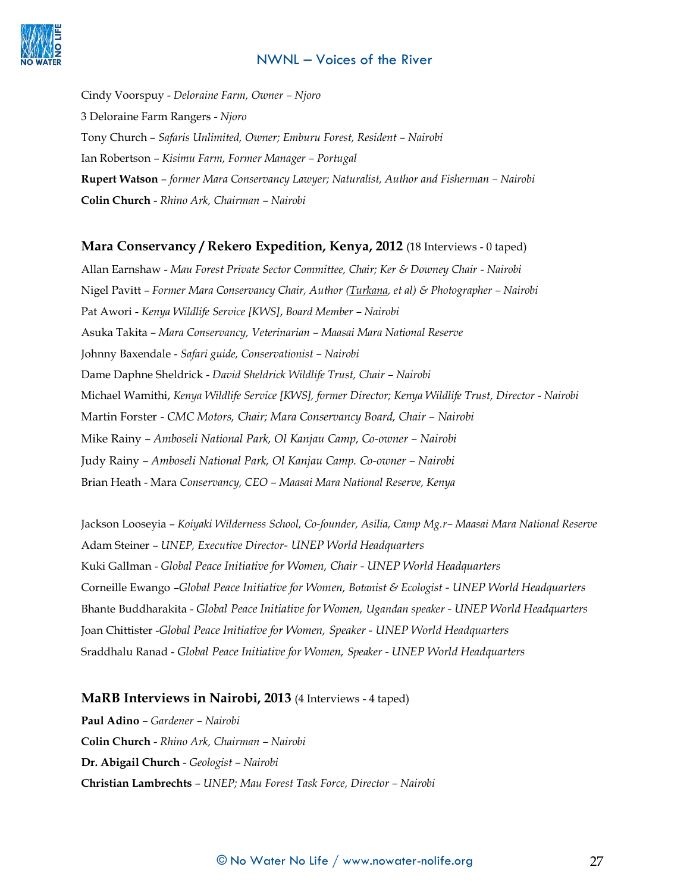

Cindy Voorspuy - *Deloraine Farm, Owner – Njoro*  3 Deloraine Farm Rangers *- Njoro* Tony Church – *Safaris Unlimited, Owner; Emburu Forest, Resident – Nairobi* Ian Robertson – *Kisimu Farm, Former Manager – Portugal* **Rupert Watson** – *former Mara Conservancy Lawyer; Naturalist, Author and Fisherman – Nairobi* **Colin Church** - *Rhino Ark, Chairman – Nairobi*

#### **Mara Conservancy / Rekero Expedition, Kenya, 2012** (18 Interviews - 0 taped)

Allan Earnshaw - *Mau Forest Private Sector Committee, Chair; Ker & Downey Chair - Nairobi* Nigel Pavitt – *Former Mara Conservancy Chair, Author (Turkana, et al) & Photographer – Nairobi* Pat Awori - *Kenya Wildlife Service [KWS]*, *Board Member – Nairobi* Asuka Takita – *Mara Conservancy, Veterinarian – Maasai Mara National Reserve* Johnny Baxendale - *Safari guide, Conservationist – Nairobi*  Dame Daphne Sheldrick - *David Sheldrick Wildlife Trust, Chair – Nairobi*  Michael Wamithi, *Kenya Wildlife Service [KWS], former Director; Kenya Wildlife Trust, Director - Nairobi* Martin Forster - *CMC Motors, Chair; Mara Conservancy Board, Chair – Nairobi*  Mike Rainy – *Amboseli National Park, Ol Kanjau Camp, Co-owner – Nairobi* Judy Rainy – *Amboseli National Park, Ol Kanjau Camp. Co-owner – Nairobi* Brian Heath - Mara *Conservancy, CEO – Maasai Mara National Reserve, Kenya*

Jackson Looseyia – *Koiyaki Wilderness School, Co-founder, Asilia, Camp Mg.r– Maasai Mara National Reserve* Adam Steiner – *UNEP, Executive Director- UNEP World Headquarters* Kuki Gallman - *Global Peace Initiative for Women, Chair - UNEP World Headquarters* Corneille Ewango –*Global Peace Initiative for Women, Botanist & Ecologist - UNEP World Headquarters* Bhante Buddharakita - *Global Peace Initiative for Women, Ugandan speaker - UNEP World Headquarters* Joan Chittister -*Global Peace Initiative for Women, Speaker - UNEP World Headquarters* Sraddhalu Ranad - *Global Peace Initiative for Women, Speaker - UNEP World Headquarters*

#### **MaRB Interviews in Nairobi, 2013** (4 Interviews - 4 taped)

**Paul Adino** *– Gardener – Nairobi* **Colin Church** - *Rhino Ark, Chairman – Nairobi* **Dr. Abigail Church** - *Geologist – Nairobi*  **Christian Lambrechts** – *UNEP; Mau Forest Task Force, Director – Nairobi*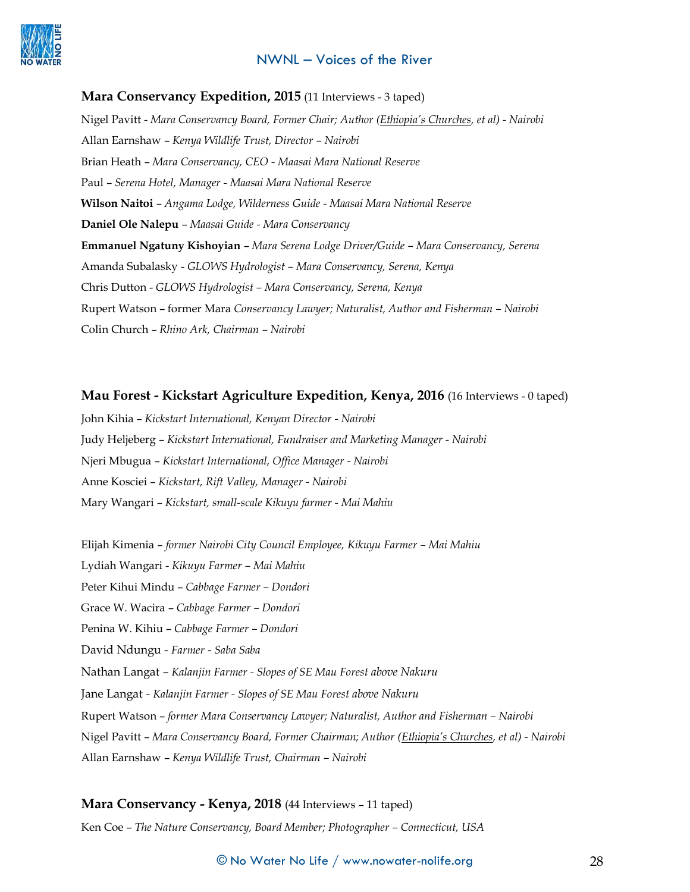

#### **Mara Conservancy Expedition, 2015** (11 Interviews - 3 taped)

Nigel Pavitt - *Mara Conservancy Board, Former Chair; Author (Ethiopia's Churches, et al) - Nairobi* Allan Earnshaw – *Kenya Wildlife Trust, Director – Nairobi*  Brian Heath – *Mara Conservancy, CEO - Maasai Mara National Reserve* Paul – *Serena Hotel, Manager - Maasai Mara National Reserve* **Wilson Naitoi** – *Angama Lodge, Wilderness Guide - Maasai Mara National Reserve* **Daniel Ole Nalepu** – *Maasai Guide - Mara Conservancy* **Emmanuel Ngatuny Kishoyian** – *Mara Serena Lodge Driver/Guide – Mara Conservancy, Serena* Amanda Subalasky - *GLOWS Hydrologist – Mara Conservancy, Serena, Kenya* Chris Dutton - *GLOWS Hydrologist – Mara Conservancy, Serena, Kenya* Rupert Watson – former Mara *Conservancy Lawyer; Naturalist, Author and Fisherman – Nairobi* Colin Church – *Rhino Ark, Chairman – Nairobi*

#### **Mau Forest - Kickstart Agriculture Expedition, Kenya, 2016** (16 Interviews - 0 taped)

John Kihia – *Kickstart International, Kenyan Director - Nairobi* Judy Heljeberg – *Kickstart International, Fundraiser and Marketing Manager - Nairobi* Njeri Mbugua – *Kickstart International, Office Manager - Nairobi* Anne Kosciei – *Kickstart, Rift Valley, Manager - Nairobi* Mary Wangari – *Kickstart, small-scale Kikuyu farmer - Mai Mahiu*

Elijah Kimenia – *former Nairobi City Council Employee, Kikuyu Farmer – Mai Mahiu* Lydiah Wangari - *Kikuyu Farmer – Mai Mahiu* Peter Kihui Mindu – *Cabbage Farmer – Dondori* Grace W. Wacira – *Cabbage Farmer – Dondori* Penina W. Kihiu – *Cabbage Farmer – Dondori*  David Ndungu - *Farmer* - *Saba Saba* Nathan Langat – *Kalanjin Farmer - Slopes of SE Mau Forest above Nakuru* Jane Langat *- Kalanjin Farmer - Slopes of SE Mau Forest above Nakuru* Rupert Watson – *former Mara Conservancy Lawyer; Naturalist, Author and Fisherman – Nairobi* Nigel Pavitt – *Mara Conservancy Board, Former Chairman; Author (Ethiopia's Churches, et al) - Nairobi* Allan Earnshaw – *Kenya Wildlife Trust, Chairman – Nairobi*

#### **Mara Conservancy - Kenya, 2018** (44 Interviews – 11 taped)

Ken Coe – *The Nature Conservancy, Board Member; Photographer – Connecticut, USA*

## © No Water No Life / www.nowater-nolife.org 28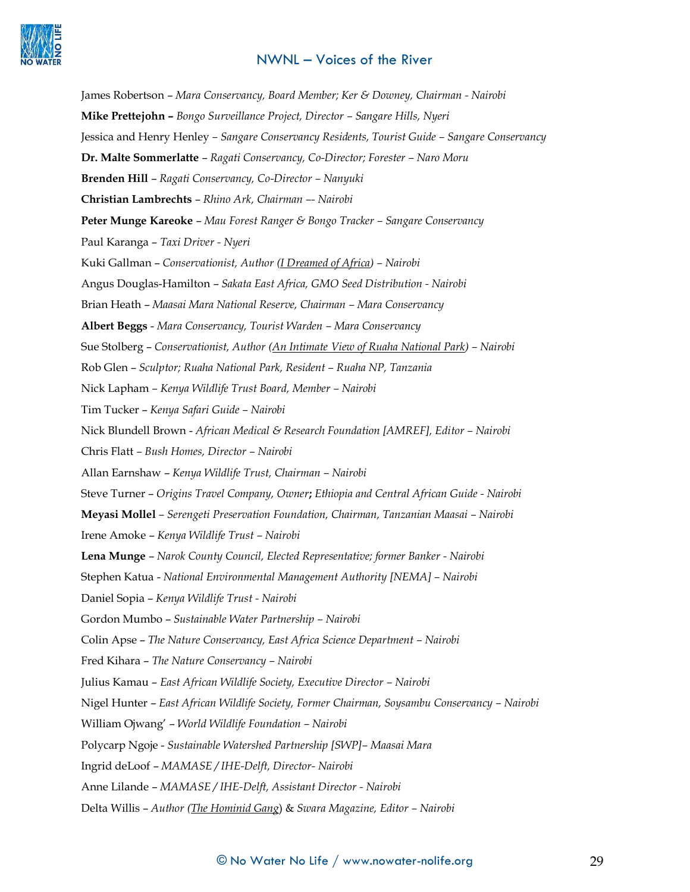

James Robertson – *Mara Conservancy, Board Member; Ker & Downey, Chairman - Nairobi* **Mike Prettejohn –** *Bongo Surveillance Project, Director – Sangare Hills, Nyeri*  Jessica and Henry Henley *– Sangare Conservancy Residents, Tourist Guide – Sangare Conservancy* **Dr. Malte Sommerlatte** – *Ragati Conservancy, Co-Director; Forester* – *Naro Moru* **Brenden Hill** – *Ragati Conservancy, Co-Director – Nanyuki* **Christian Lambrechts** – *Rhino Ark, Chairman –- Nairobi* **Peter Munge Kareoke** – *Mau Forest Ranger & Bongo Tracker – Sangare Conservancy* Paul Karanga – *Taxi Driver - Nyeri* Kuki Gallman – *Conservationist, Author (I Dreamed of Africa) – Nairobi*  Angus Douglas-Hamilton – *Sakata East Africa, GMO Seed Distribution - Nairobi* Brian Heath – *Maasai Mara National Reserve, Chairman – Mara Conservancy* **Albert Beggs** - *Mara Conservancy, Tourist Warden – Mara Conservancy* Sue Stolberg – *Conservationist, Author (An Intimate View of Ruaha National Park) – Nairobi* Rob Glen – *Sculptor; Ruaha National Park, Resident – Ruaha NP, Tanzania* Nick Lapham *– Kenya Wildlife Trust Board, Member – Nairobi* Tim Tucker – *Kenya Safari Guide – Nairobi* Nick Blundell Brown - *African Medical & Research Foundation [AMREF], Editor – Nairobi* Chris Flatt *– Bush Homes, Director – Nairobi*  Allan Earnshaw – *Kenya Wildlife Trust, Chairman – Nairobi* Steve Turner – *Origins Travel Company, Owner***;** *Ethiopia and Central African Guide - Nairobi* **Meyasi Mollel** *– Serengeti Preservation Foundation, Chairman, Tanzanian Maasai – Nairobi* Irene Amoke – *Kenya Wildlife Trust – Nairobi* **Lena Munge** – *Narok County Council, Elected Representative; former Banker - Nairobi*  Stephen Katua - *National Environmental Management Authority [NEMA] – Nairobi*  Daniel Sopia – *Kenya Wildlife Trust - Nairobi*  Gordon Mumbo – *Sustainable Water Partnership – Nairobi* Colin Apse – *The Nature Conservancy, East Africa Science Department – Nairobi*  Fred Kihara – *The Nature Conservancy – Nairobi* Julius Kamau – *East African Wildlife Society, Executive Director – Nairobi*  Nigel Hunter – *East African Wildlife Society, Former Chairman, Soysambu Conservancy – Nairobi* William Ojwang' – *World Wildlife Foundation – Nairobi* Polycarp Ngoje - *Sustainable Watershed Partnership [SWP]– Maasai Mara*  Ingrid deLoof – *MAMASE / IHE-Delft, Director- Nairobi* Anne Lilande – *MAMASE / IHE-Delft, Assistant Director - Nairobi* Delta Willis – *Author (The Hominid Gang*) & *Swara Magazine, Editor – Nairobi*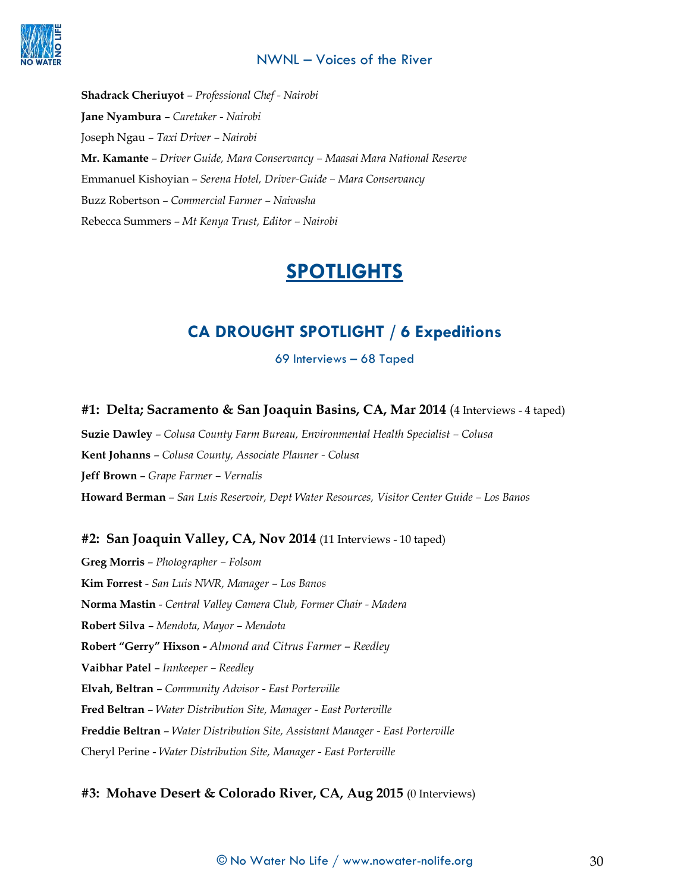

**Shadrack Cheriuyot** – *Professional Chef - Nairobi* **Jane Nyambura** – *Caretaker - Nairobi* Joseph Ngau – *Taxi Driver – Nairobi* **Mr. Kamante** – *Driver Guide, Mara Conservancy – Maasai Mara National Reserve* Emmanuel Kishoyian – *Serena Hotel, Driver-Guide – Mara Conservancy* Buzz Robertson – *Commercial Farmer – Naivasha* Rebecca Summers – *Mt Kenya Trust, Editor – Nairobi* 

# **SPOTLIGHTS**

# **CA DROUGHT SPOTLIGHT / 6 Expeditions**

69 Interviews – 68 Taped

## **#1: Delta; Sacramento & San Joaquin Basins, CA, Mar 2014** (4 Interviews - 4 taped)

**Suzie Dawley** – *Colusa County Farm Bureau, Environmental Health Specialist – Colusa*  **Kent Johanns** – *Colusa County, Associate Planner - Colusa*  **Jeff Brown** – *Grape Farmer – Vernalis*  **Howard Berman** – *San Luis Reservoir, Dept Water Resources, Visitor Center Guide – Los Banos*

## **#2: San Joaquin Valley, CA, Nov 2014** (11 Interviews - 10 taped)

**Greg Morris** – *Photographer – Folsom* **Kim Forrest** - *San Luis NWR, Manager – Los Banos* **Norma Mastin** - *Central Valley Camera Club, Former Chair - Madera* **Robert Silva** – *Mendota, Mayor – Mendota* **Robert "Gerry" Hixson -** *Almond and Citrus Farmer – Reedley* **Vaibhar Patel** – *Innkeeper – Reedley* **Elvah, Beltran** – *Community Advisor - East Porterville* **Fred Beltran** – *Water Distribution Site, Manager - East Porterville* **Freddie Beltran** – *Water Distribution Site, Assistant Manager - East Porterville* Cheryl Perine - *Water Distribution Site, Manager - East Porterville*

## **#3: Mohave Desert & Colorado River, CA, Aug 2015** (0 Interviews)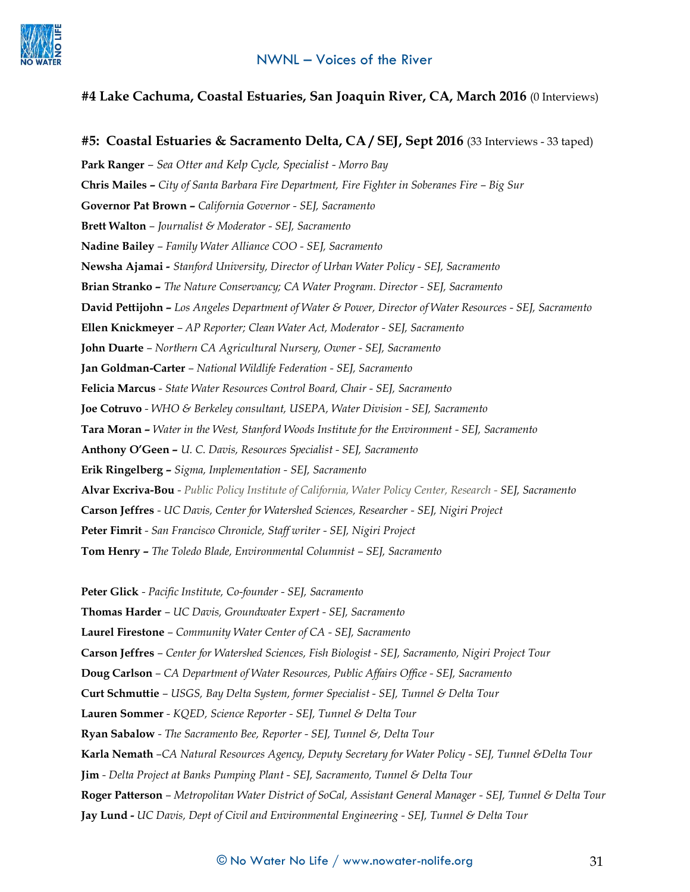

## **#4 Lake Cachuma, Coastal Estuaries, San Joaquin River, CA, March 2016** (0 Interviews)

**#5: Coastal Estuaries & Sacramento Delta, CA / SEJ, Sept 2016** (33 Interviews - 33 taped)

**Park Ranger** *– Sea Otter and Kelp Cycle, Specialist - Morro Bay* **Chris Mailes –** *City of Santa Barbara Fire Department, Fire Fighter in Soberanes Fire – Big Sur* **Governor Pat Brown –** *California Governor - SEJ, Sacramento* **Brett Walton** *– Journalist & Moderator - SEJ, Sacramento* **Nadine Bailey** *– Family Water Alliance COO - SEJ, Sacramento* **Newsha Ajamai** *- Stanford University, Director of Urban Water Policy - SEJ, Sacramento* **Brian Stranko –** *The Nature Conservancy; CA Water Program. Director - SEJ, Sacramento* **David Pettijohn –** *Los Angeles Department of Water & Power, Director of Water Resources - SEJ, Sacramento* **Ellen Knickmeyer** *– AP Reporter; Clean Water Act, Moderator - SEJ, Sacramento*  **John Duarte** *– Northern CA Agricultural Nursery, Owner - SEJ, Sacramento* **Jan Goldman-Carter** *– National Wildlife Federation - SEJ, Sacramento* **Felicia Marcus** *- State Water Resources Control Board, Chair - SEJ, Sacramento* **Joe Cotruvo** *- WHO & Berkeley consultant, USEPA, Water Division - SEJ, Sacramento* **Tara Moran –** *Water in the West, Stanford Woods Institute for the Environment - SEJ, Sacramento* **Anthony O'Geen –** *U. C. Davis, Resources Specialist - SEJ, Sacramento* **Erik Ringelberg –** *Sigma, Implementation - SEJ, Sacramento* **Alvar Excriva-Bou** *- Public Policy Institute of California, Water Policy Center, Research - SEJ, Sacramento* **Carson Jeffres** *- UC Davis, Center for Watershed Sciences, Researcher - SEJ, Nigiri Project* **Peter Fimrit** *- San Francisco Chronicle, Staff writer - SEJ, Nigiri Project* **Tom Henry –** *The Toledo Blade, Environmental Columnist – SEJ, Sacramento*

**Peter Glick** *- Pacific Institute, Co-founder - SEJ, Sacramento*

**Thomas Harder** *– UC Davis, Groundwater Expert - SEJ, Sacramento*

**Laurel Firestone** *– Community Water Center of CA - SEJ, Sacramento*

**Carson Jeffres** *– Center for Watershed Sciences, Fish Biologist - SEJ, Sacramento, Nigiri Project Tour*

**Doug Carlson** *– CA Department of Water Resources, Public Affairs Office - SEJ, Sacramento*

**Curt Schmuttie** *– USGS, Bay Delta System, former Specialist - SEJ, Tunnel & Delta Tour*

**Lauren Sommer** *- KQED, Science Reporter - SEJ, Tunnel & Delta Tour*

**Ryan Sabalow** *- The Sacramento Bee, Reporter - SEJ, Tunnel &, Delta Tour*

**Karla Nemath** *–CA Natural Resources Agency, Deputy Secretary for Water Policy - SEJ, Tunnel &Delta Tour*

**Jim** *- Delta Project at Banks Pumping Plant - SEJ, Sacramento, Tunnel & Delta Tour*

**Roger Patterson** *– Metropolitan Water District of SoCal, Assistant General Manager - SEJ, Tunnel & Delta Tour*

**Jay Lund -** *UC Davis, Dept of Civil and Environmental Engineering - SEJ, Tunnel & Delta Tour*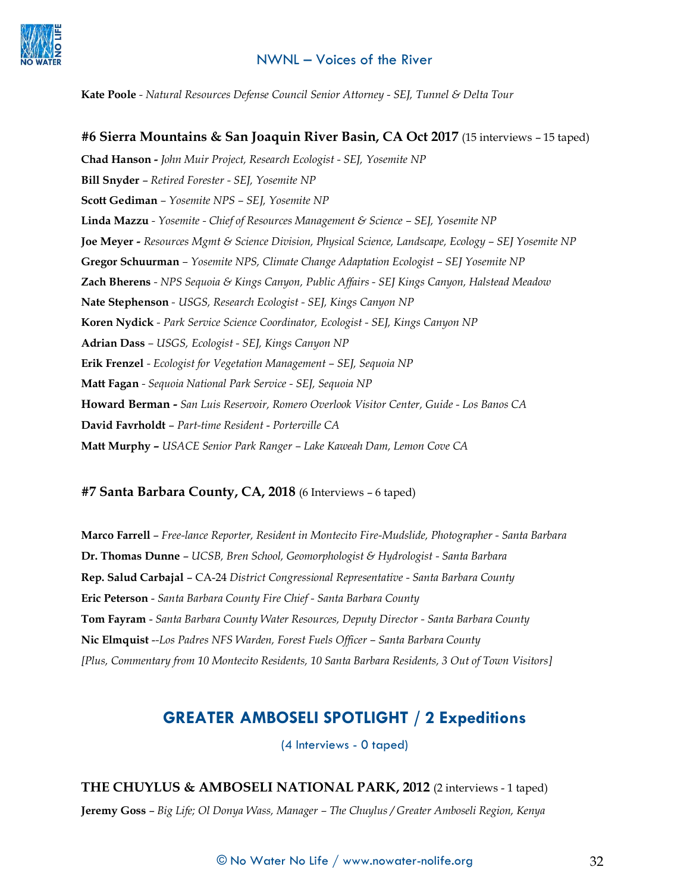

**Kate Poole** *- Natural Resources Defense Council Senior Attorney - SEJ, Tunnel & Delta Tour*

**#6 Sierra Mountains & San Joaquin River Basin, CA Oct 2017** (15 interviews – 15 taped)

**Chad Hanson -** *John Muir Project, Research Ecologist - SEJ, Yosemite NP* **Bill Snyder** – *Retired Forester - SEJ, Yosemite NP* **Scott Gediman** *– Yosemite NPS – SEJ, Yosemite NP* **Linda Mazzu** *- Yosemite - Chief of Resources Management & Science – SEJ, Yosemite NP* **Joe Meyer** *- Resources Mgmt & Science Division, Physical Science, Landscape, Ecology – SEJ Yosemite NP* **Gregor Schuurman** *– Yosemite NPS, Climate Change Adaptation Ecologist – SEJ Yosemite NP* **Zach Bherens** *- NPS Sequoia & Kings Canyon, Public Affairs - SEJ Kings Canyon, Halstead Meadow*  **Nate Stephenson** *- USGS, Research Ecologist - SEJ, Kings Canyon NP* **Koren Nydick** *- Park Service Science Coordinator, Ecologist - SEJ, Kings Canyon NP* **Adrian Dass** *– USGS, Ecologist - SEJ, Kings Canyon NP* **Erik Frenzel** *- Ecologist for Vegetation Management – SEJ, Sequoia NP* **Matt Fagan** *- Sequoia National Park Service - SEJ, Sequoia NP* **Howard Berman -** *San Luis Reservoir, Romero Overlook Visitor Center, Guide - Los Banos CA* **David Favrholdt** – *Part-time Resident* - *Porterville CA* **Matt Murphy –** *USACE Senior Park Ranger – Lake Kaweah Dam, Lemon Cove CA*

#### **#7 Santa Barbara County, CA, 2018** (6 Interviews – 6 taped)

**Marco Farrell** – *Free-lance Reporter, Resident in Montecito Fire-Mudslide, Photographer - Santa Barbara* **Dr. Thomas Dunne** – *UCSB, Bren School, Geomorphologist & Hydrologist - Santa Barbara*  **Rep. Salud Carbajal** – CA-24 *District Congressional Representative - Santa Barbara County* **Eric Peterson** - *Santa Barbara County Fire Chief - Santa Barbara County* **Tom Fayram** - *Santa Barbara County Water Resources, Deputy Director - Santa Barbara County* **Nic Elmquist** -*-Los Padres NFS Warden, Forest Fuels Officer – Santa Barbara County [Plus, Commentary from 10 Montecito Residents, 10 Santa Barbara Residents, 3 Out of Town Visitors]*

# **GREATER AMBOSELI SPOTLIGHT / 2 Expeditions**

(4 Interviews - 0 taped)

**THE CHUYLUS & AMBOSELI NATIONAL PARK, 2012** (2 interviews - 1 taped) **Jeremy Goss** – *Big Life; Ol Donya Wass, Manager – The Chuylus / Greater Amboseli Region, Kenya*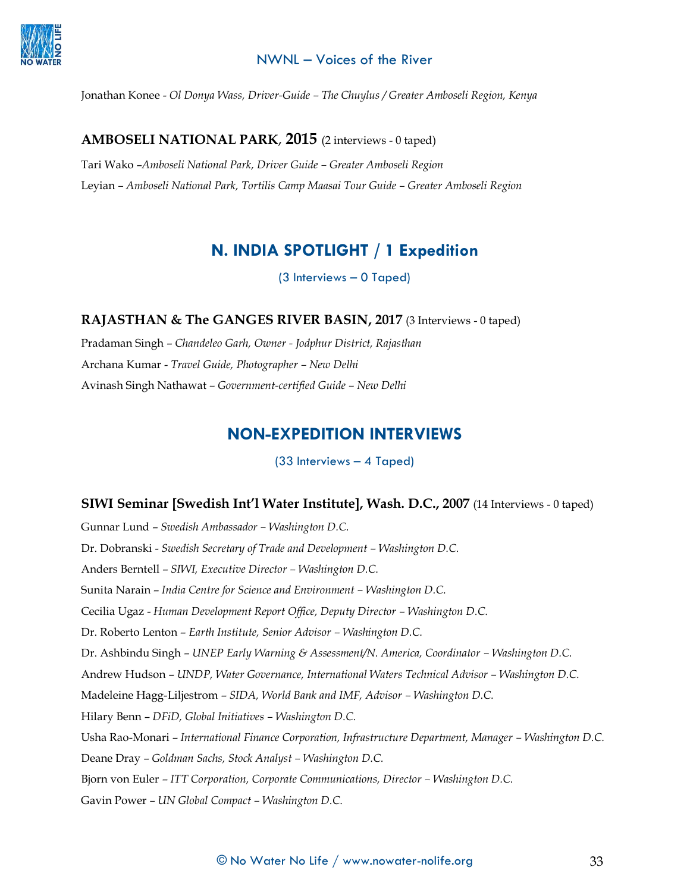

Jonathan Konee - *Ol Donya Wass, Driver-Guide – The Chuylus / Greater Amboseli Region, Kenya*

#### **AMBOSELI NATIONAL PARK**, **2015** (2 interviews - 0 taped)

Tari Wako –*Amboseli National Park, Driver Guide – Greater Amboseli Region* Leyian *– Amboseli National Park, Tortilis Camp Maasai Tour Guide – Greater Amboseli Region*

# **N. INDIA SPOTLIGHT / 1 Expedition**

(3 Interviews – 0 Taped)

**RAJASTHAN & The GANGES RIVER BASIN, 2017** (3 Interviews - 0 taped)

Pradaman Singh – *Chandeleo Garh, Owner - Jodphur District, Rajasthan* Archana Kumar - *Travel Guide, Photographer – New Delhi* Avinash Singh Nathawat *– Government-certified Guide – New Delhi*

## **NON-EXPEDITION INTERVIEWS**

(33 Interviews – 4 Taped)

#### **SIWI Seminar [Swedish Int'l Water Institute], Wash. D.C., 2007** (14 Interviews - 0 taped)

Gunnar Lund – *Swedish Ambassador – Washington D.C.* Dr. Dobranski - *Swedish Secretary of Trade and Development – Washington D.C.* Anders Berntell – *SIWI, Executive Director – Washington D.C.* Sunita Narain – *India Centre for Science and Environment – Washington D.C.* Cecilia Ugaz - *Human Development Report Office, Deputy Director – Washington D.C.* Dr. Roberto Lenton – *Earth Institute, Senior Advisor – Washington D.C.* Dr. Ashbindu Singh – *UNEP Early Warning & Assessment/N. America, Coordinator – Washington D.C.* Andrew Hudson – *UNDP, Water Governance, International Waters Technical Advisor – Washington D.C.* Madeleine Hagg-Liljestrom – *SIDA, World Bank and IMF, Advisor – Washington D.C.* Hilary Benn – *DFiD, Global Initiatives – Washington D.C.* Usha Rao-Monari – *International Finance Corporation, Infrastructure Department, Manager – Washington D.C.* Deane Dray – *Goldman Sachs, Stock Analyst – Washington D.C.* Bjorn von Euler – *ITT Corporation, Corporate Communications, Director – Washington D.C.* Gavin Power – *UN Global Compact – Washington D.C.*